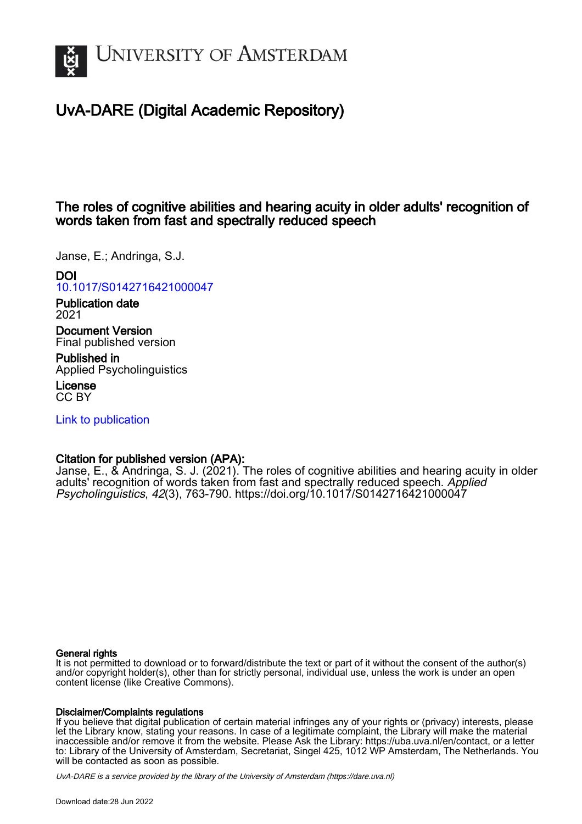

# UvA-DARE (Digital Academic Repository)

## The roles of cognitive abilities and hearing acuity in older adults' recognition of words taken from fast and spectrally reduced speech

Janse, E.; Andringa, S.J.

## DOI

[10.1017/S0142716421000047](https://doi.org/10.1017/S0142716421000047)

Publication date 2021

Document Version Final published version

Published in Applied Psycholinguistics

License CC BY

[Link to publication](https://dare.uva.nl/personal/pure/en/publications/the-roles-of-cognitive-abilities-and-hearing-acuity-in-older-adults-recognition-of-words-taken-from-fast-and-spectrally-reduced-speech(c665bceb-980e-41cd-991e-1ac89a856d00).html)

## Citation for published version (APA):

Janse, E., & Andringa, S. J. (2021). The roles of cognitive abilities and hearing acuity in older adults' recognition of words taken from fast and spectrally reduced speech. Applied Psycholinguistics, 42(3), 763-790.<https://doi.org/10.1017/S0142716421000047>

### General rights

It is not permitted to download or to forward/distribute the text or part of it without the consent of the author(s) and/or copyright holder(s), other than for strictly personal, individual use, unless the work is under an open content license (like Creative Commons).

### Disclaimer/Complaints regulations

If you believe that digital publication of certain material infringes any of your rights or (privacy) interests, please let the Library know, stating your reasons. In case of a legitimate complaint, the Library will make the material inaccessible and/or remove it from the website. Please Ask the Library: https://uba.uva.nl/en/contact, or a letter to: Library of the University of Amsterdam, Secretariat, Singel 425, 1012 WP Amsterdam, The Netherlands. You will be contacted as soon as possible.

UvA-DARE is a service provided by the library of the University of Amsterdam (http*s*://dare.uva.nl)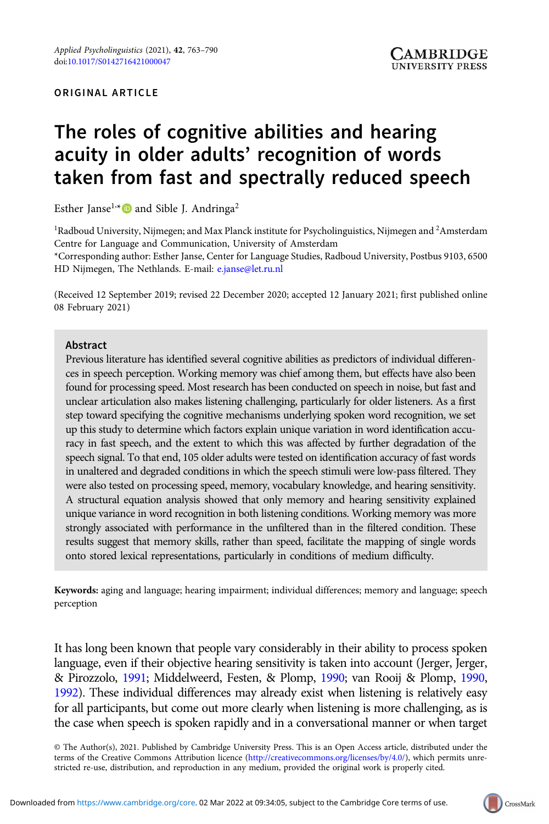# The roles of cognitive abilities and hearing acuity in older adults' recognition of words taken from fast and spectrally reduced speech

Esther Janse<sup>1,\*</sup> and Sible J. Andringa<sup>2</sup>

<sup>1</sup> Radboud University, Nijmegen; and Max Planck institute for Psycholinguistics, Nijmegen and <sup>2</sup> Amsterdam Centre for Language and Communication, University of Amsterdam

\*Corresponding author: Esther Janse, Center for Language Studies, Radboud University, Postbus 9103, 6500 HD Nijmegen, The Nethlands. E-mail: [e.janse@let.ru.nl](mailto:e.janse@let.ru.nl)

(Received 12 September 2019; revised 22 December 2020; accepted 12 January 2021; first published online 08 February 2021)

#### Abstract

Previous literature has identified several cognitive abilities as predictors of individual differences in speech perception. Working memory was chief among them, but effects have also been found for processing speed. Most research has been conducted on speech in noise, but fast and unclear articulation also makes listening challenging, particularly for older listeners. As a first step toward specifying the cognitive mechanisms underlying spoken word recognition, we set up this study to determine which factors explain unique variation in word identification accuracy in fast speech, and the extent to which this was affected by further degradation of the speech signal. To that end, 105 older adults were tested on identification accuracy of fast words in unaltered and degraded conditions in which the speech stimuli were low-pass filtered. They were also tested on processing speed, memory, vocabulary knowledge, and hearing sensitivity. A structural equation analysis showed that only memory and hearing sensitivity explained unique variance in word recognition in both listening conditions. Working memory was more strongly associated with performance in the unfiltered than in the filtered condition. These results suggest that memory skills, rather than speed, facilitate the mapping of single words onto stored lexical representations, particularly in conditions of medium difficulty.

Keywords: aging and language; hearing impairment; individual differences; memory and language; speech perception

It has long been known that people vary considerably in their ability to process spoken language, even if their objective hearing sensitivity is taken into account (Jerger, Jerger, & Pirozzolo, [1991;](#page-26-0) Middelweerd, Festen, & Plomp, [1990](#page-26-0); van Rooij & Plomp, [1990](#page-27-0), [1992](#page-27-0)). These individual differences may already exist when listening is relatively easy for all participants, but come out more clearly when listening is more challenging, as is the case when speech is spoken rapidly and in a conversational manner or when target

© The Author(s), 2021. Published by Cambridge University Press. This is an Open Access article, distributed under the terms of the Creative Commons Attribution licence ([http://creativecommons.org/licenses/by/4.0/\)](http://creativecommons.org/licenses/by/4.0/), which permits unrestricted re-use, distribution, and reproduction in any medium, provided the original work is properly cited.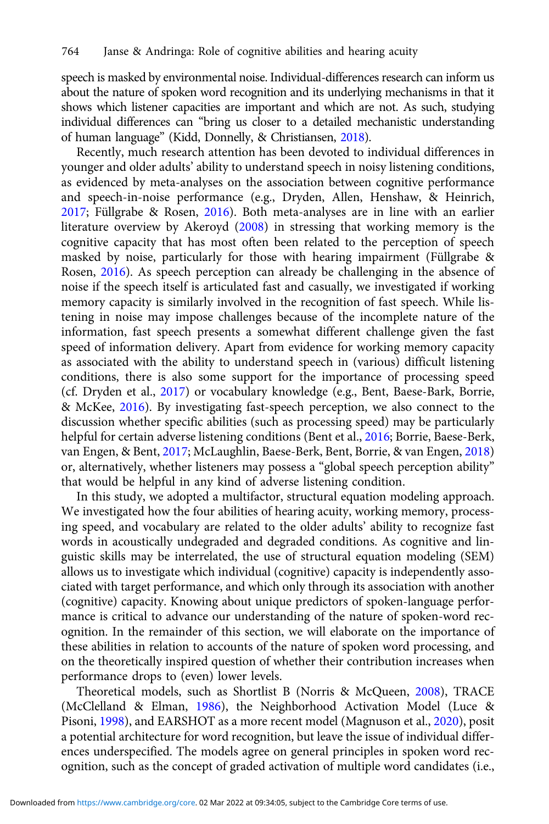speech is masked by environmental noise. Individual-differences research can inform us about the nature of spoken word recognition and its underlying mechanisms in that it shows which listener capacities are important and which are not. As such, studying individual differences can "bring us closer to a detailed mechanistic understanding of human language" (Kidd, Donnelly, & Christiansen, [2018](#page-26-0)).

Recently, much research attention has been devoted to individual differences in younger and older adults' ability to understand speech in noisy listening conditions, as evidenced by meta-analyses on the association between cognitive performance and speech-in-noise performance (e.g., Dryden, Allen, Henshaw, & Heinrich, [2017;](#page-25-0) Füllgrabe & Rosen, [2016\)](#page-25-0). Both meta-analyses are in line with an earlier literature overview by Akeroyd ([2008](#page-24-0)) in stressing that working memory is the cognitive capacity that has most often been related to the perception of speech masked by noise, particularly for those with hearing impairment (Füllgrabe & Rosen, [2016\)](#page-25-0). As speech perception can already be challenging in the absence of noise if the speech itself is articulated fast and casually, we investigated if working memory capacity is similarly involved in the recognition of fast speech. While listening in noise may impose challenges because of the incomplete nature of the information, fast speech presents a somewhat different challenge given the fast speed of information delivery. Apart from evidence for working memory capacity as associated with the ability to understand speech in (various) difficult listening conditions, there is also some support for the importance of processing speed (cf. Dryden et al., [2017](#page-25-0)) or vocabulary knowledge (e.g., Bent, Baese-Bark, Borrie, & McKee, [2016\)](#page-24-0). By investigating fast-speech perception, we also connect to the discussion whether specific abilities (such as processing speed) may be particularly helpful for certain adverse listening conditions (Bent et al., [2016;](#page-24-0) Borrie, Baese-Berk, van Engen, & Bent, [2017](#page-24-0); McLaughlin, Baese-Berk, Bent, Borrie, & van Engen, [2018](#page-26-0)) or, alternatively, whether listeners may possess a "global speech perception ability" that would be helpful in any kind of adverse listening condition.

In this study, we adopted a multifactor, structural equation modeling approach. We investigated how the four abilities of hearing acuity, working memory, processing speed, and vocabulary are related to the older adults' ability to recognize fast words in acoustically undegraded and degraded conditions. As cognitive and linguistic skills may be interrelated, the use of structural equation modeling (SEM) allows us to investigate which individual (cognitive) capacity is independently associated with target performance, and which only through its association with another (cognitive) capacity. Knowing about unique predictors of spoken-language performance is critical to advance our understanding of the nature of spoken-word recognition. In the remainder of this section, we will elaborate on the importance of these abilities in relation to accounts of the nature of spoken word processing, and on the theoretically inspired question of whether their contribution increases when performance drops to (even) lower levels.

Theoretical models, such as Shortlist B (Norris & McQueen, [2008\)](#page-26-0), TRACE (McClelland & Elman, [1986](#page-26-0)), the Neighborhood Activation Model (Luce & Pisoni, [1998\)](#page-26-0), and EARSHOT as a more recent model (Magnuson et al., [2020\)](#page-26-0), posit a potential architecture for word recognition, but leave the issue of individual differences underspecified. The models agree on general principles in spoken word recognition, such as the concept of graded activation of multiple word candidates (i.e.,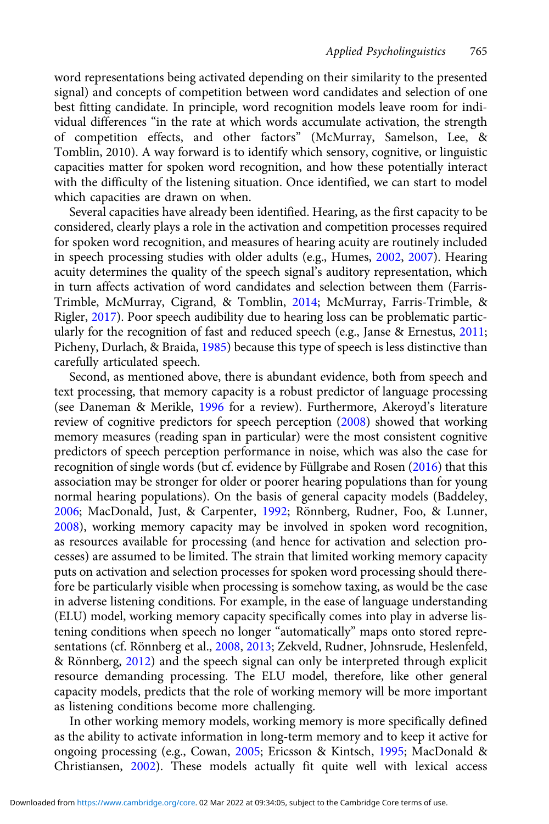word representations being activated depending on their similarity to the presented signal) and concepts of competition between word candidates and selection of one best fitting candidate. In principle, word recognition models leave room for individual differences "in the rate at which words accumulate activation, the strength of competition effects, and other factors" (McMurray, Samelson, Lee, & Tomblin, 2010). A way forward is to identify which sensory, cognitive, or linguistic capacities matter for spoken word recognition, and how these potentially interact with the difficulty of the listening situation. Once identified, we can start to model which capacities are drawn on when.

Several capacities have already been identified. Hearing, as the first capacity to be considered, clearly plays a role in the activation and competition processes required for spoken word recognition, and measures of hearing acuity are routinely included in speech processing studies with older adults (e.g., Humes, [2002,](#page-25-0) [2007](#page-25-0)). Hearing acuity determines the quality of the speech signal's auditory representation, which in turn affects activation of word candidates and selection between them (Farris-Trimble, McMurray, Cigrand, & Tomblin, [2014](#page-25-0); McMurray, Farris-Trimble, & Rigler, [2017](#page-26-0)). Poor speech audibility due to hearing loss can be problematic particularly for the recognition of fast and reduced speech (e.g., Janse & Ernestus, [2011](#page-25-0); Picheny, Durlach, & Braida, [1985\)](#page-27-0) because this type of speech is less distinctive than carefully articulated speech.

Second, as mentioned above, there is abundant evidence, both from speech and text processing, that memory capacity is a robust predictor of language processing (see Daneman & Merikle, [1996](#page-25-0) for a review). Furthermore, Akeroyd's literature review of cognitive predictors for speech perception ([2008](#page-24-0)) showed that working memory measures (reading span in particular) were the most consistent cognitive predictors of speech perception performance in noise, which was also the case for recognition of single words (but cf. evidence by Füllgrabe and Rosen ([2016\)](#page-25-0) that this association may be stronger for older or poorer hearing populations than for young normal hearing populations). On the basis of general capacity models (Baddeley, [2006](#page-24-0); MacDonald, Just, & Carpenter, [1992](#page-26-0); Rönnberg, Rudner, Foo, & Lunner, [2008](#page-27-0)), working memory capacity may be involved in spoken word recognition, as resources available for processing (and hence for activation and selection processes) are assumed to be limited. The strain that limited working memory capacity puts on activation and selection processes for spoken word processing should therefore be particularly visible when processing is somehow taxing, as would be the case in adverse listening conditions. For example, in the ease of language understanding (ELU) model, working memory capacity specifically comes into play in adverse listening conditions when speech no longer "automatically" maps onto stored representations (cf. Rönnberg et al., [2008,](#page-27-0) [2013;](#page-27-0) Zekveld, Rudner, Johnsrude, Heslenfeld, & Rönnberg, [2012](#page-28-0)) and the speech signal can only be interpreted through explicit resource demanding processing. The ELU model, therefore, like other general capacity models, predicts that the role of working memory will be more important as listening conditions become more challenging.

In other working memory models, working memory is more specifically defined as the ability to activate information in long-term memory and to keep it active for ongoing processing (e.g., Cowan, [2005](#page-24-0); Ericsson & Kintsch, [1995](#page-25-0); MacDonald & Christiansen, [2002](#page-26-0)). These models actually fit quite well with lexical access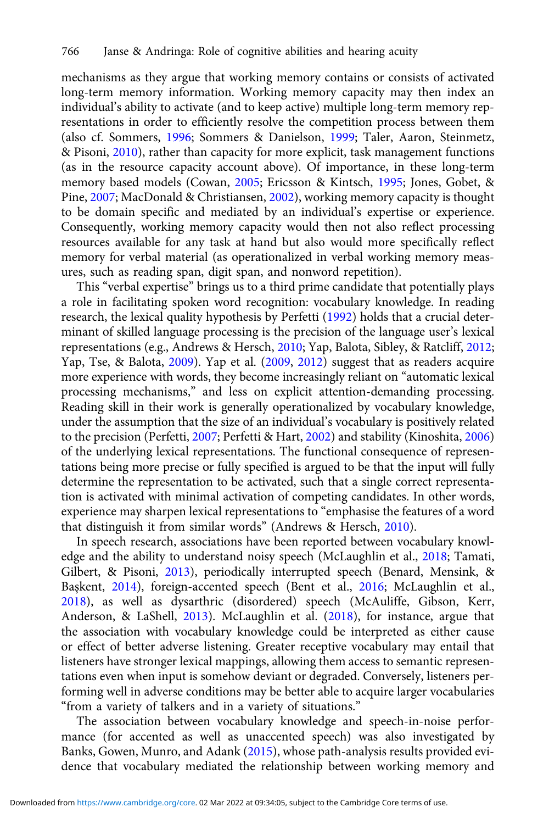mechanisms as they argue that working memory contains or consists of activated long-term memory information. Working memory capacity may then index an individual's ability to activate (and to keep active) multiple long-term memory representations in order to efficiently resolve the competition process between them (also cf. Sommers, [1996](#page-27-0); Sommers & Danielson, [1999](#page-27-0); Taler, Aaron, Steinmetz, & Pisoni, [2010](#page-27-0)), rather than capacity for more explicit, task management functions (as in the resource capacity account above). Of importance, in these long-term memory based models (Cowan, [2005;](#page-24-0) Ericsson & Kintsch, [1995](#page-25-0); Jones, Gobet, & Pine, [2007](#page-26-0); MacDonald & Christiansen, [2002\)](#page-26-0), working memory capacity is thought to be domain specific and mediated by an individual's expertise or experience. Consequently, working memory capacity would then not also reflect processing resources available for any task at hand but also would more specifically reflect memory for verbal material (as operationalized in verbal working memory measures, such as reading span, digit span, and nonword repetition).

This "verbal expertise" brings us to a third prime candidate that potentially plays a role in facilitating spoken word recognition: vocabulary knowledge. In reading research, the lexical quality hypothesis by Perfetti ([1992](#page-26-0)) holds that a crucial determinant of skilled language processing is the precision of the language user's lexical representations (e.g., Andrews & Hersch, [2010](#page-24-0); Yap, Balota, Sibley, & Ratcliff, [2012;](#page-28-0) Yap, Tse, & Balota, [2009\)](#page-28-0). Yap et al. [\(2009,](#page-28-0) [2012](#page-28-0)) suggest that as readers acquire more experience with words, they become increasingly reliant on "automatic lexical processing mechanisms," and less on explicit attention-demanding processing. Reading skill in their work is generally operationalized by vocabulary knowledge, under the assumption that the size of an individual's vocabulary is positively related to the precision (Perfetti, [2007](#page-27-0); Perfetti & Hart, [2002\)](#page-27-0) and stability (Kinoshita, [2006](#page-26-0)) of the underlying lexical representations. The functional consequence of representations being more precise or fully specified is argued to be that the input will fully determine the representation to be activated, such that a single correct representation is activated with minimal activation of competing candidates. In other words, experience may sharpen lexical representations to "emphasise the features of a word that distinguish it from similar words" (Andrews & Hersch, [2010](#page-24-0)).

In speech research, associations have been reported between vocabulary knowledge and the ability to understand noisy speech (McLaughlin et al., [2018;](#page-26-0) Tamati, Gilbert, & Pisoni, [2013](#page-27-0)), periodically interrupted speech (Benard, Mensink, & Başkent, [2014](#page-24-0)), foreign-accented speech (Bent et al., [2016](#page-24-0); McLaughlin et al., [2018\)](#page-26-0), as well as dysarthric (disordered) speech (McAuliffe, Gibson, Kerr, Anderson, & LaShell, [2013](#page-26-0)). McLaughlin et al. [\(2018](#page-26-0)), for instance, argue that the association with vocabulary knowledge could be interpreted as either cause or effect of better adverse listening. Greater receptive vocabulary may entail that listeners have stronger lexical mappings, allowing them access to semantic representations even when input is somehow deviant or degraded. Conversely, listeners performing well in adverse conditions may be better able to acquire larger vocabularies "from a variety of talkers and in a variety of situations."

The association between vocabulary knowledge and speech-in-noise performance (for accented as well as unaccented speech) was also investigated by Banks, Gowen, Munro, and Adank [\(2015](#page-24-0)), whose path-analysis results provided evidence that vocabulary mediated the relationship between working memory and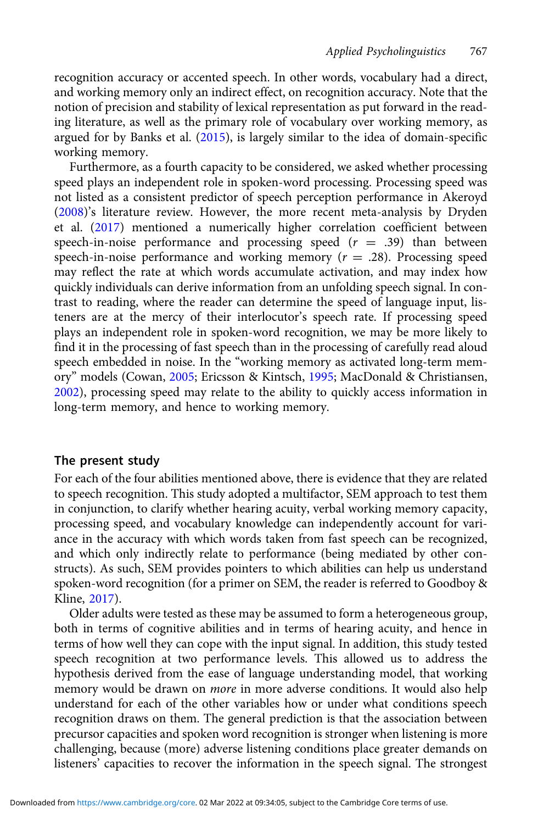recognition accuracy or accented speech. In other words, vocabulary had a direct, and working memory only an indirect effect, on recognition accuracy. Note that the notion of precision and stability of lexical representation as put forward in the reading literature, as well as the primary role of vocabulary over working memory, as argued for by Banks et al. [\(2015\)](#page-24-0), is largely similar to the idea of domain-specific working memory.

Furthermore, as a fourth capacity to be considered, we asked whether processing speed plays an independent role in spoken-word processing. Processing speed was not listed as a consistent predictor of speech perception performance in Akeroyd [\(2008\)](#page-24-0)'s literature review. However, the more recent meta-analysis by Dryden et al. [\(2017](#page-25-0)) mentioned a numerically higher correlation coefficient between speech-in-noise performance and processing speed  $(r = .39)$  than between speech-in-noise performance and working memory  $(r = .28)$ . Processing speed may reflect the rate at which words accumulate activation, and may index how quickly individuals can derive information from an unfolding speech signal. In contrast to reading, where the reader can determine the speed of language input, listeners are at the mercy of their interlocutor's speech rate. If processing speed plays an independent role in spoken-word recognition, we may be more likely to find it in the processing of fast speech than in the processing of carefully read aloud speech embedded in noise. In the "working memory as activated long-term memory" models (Cowan, [2005;](#page-24-0) Ericsson & Kintsch, [1995;](#page-25-0) MacDonald & Christiansen, [2002](#page-26-0)), processing speed may relate to the ability to quickly access information in long-term memory, and hence to working memory.

#### The present study

For each of the four abilities mentioned above, there is evidence that they are related to speech recognition. This study adopted a multifactor, SEM approach to test them in conjunction, to clarify whether hearing acuity, verbal working memory capacity, processing speed, and vocabulary knowledge can independently account for variance in the accuracy with which words taken from fast speech can be recognized, and which only indirectly relate to performance (being mediated by other constructs). As such, SEM provides pointers to which abilities can help us understand spoken-word recognition (for a primer on SEM, the reader is referred to Goodboy & Kline, [2017\)](#page-25-0).

Older adults were tested as these may be assumed to form a heterogeneous group, both in terms of cognitive abilities and in terms of hearing acuity, and hence in terms of how well they can cope with the input signal. In addition, this study tested speech recognition at two performance levels. This allowed us to address the hypothesis derived from the ease of language understanding model, that working memory would be drawn on more in more adverse conditions. It would also help understand for each of the other variables how or under what conditions speech recognition draws on them. The general prediction is that the association between precursor capacities and spoken word recognition is stronger when listening is more challenging, because (more) adverse listening conditions place greater demands on listeners' capacities to recover the information in the speech signal. The strongest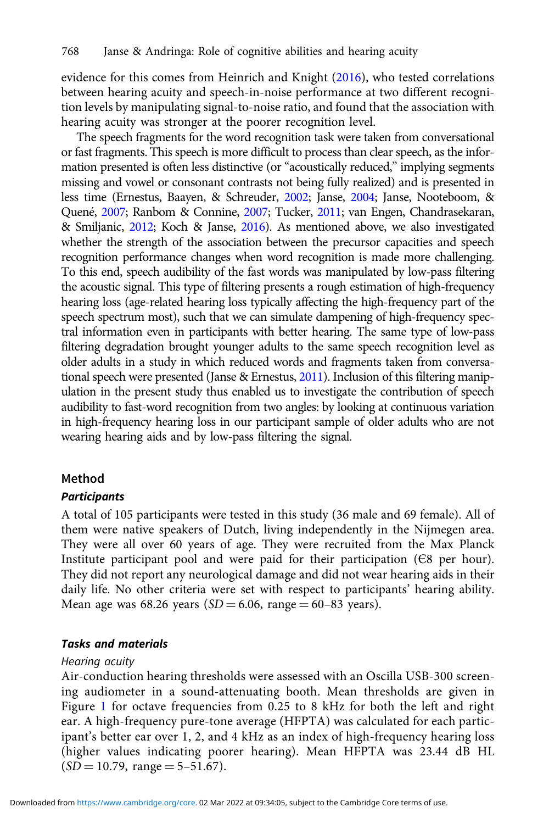evidence for this comes from Heinrich and Knight ([2016](#page-25-0)), who tested correlations between hearing acuity and speech-in-noise performance at two different recognition levels by manipulating signal-to-noise ratio, and found that the association with hearing acuity was stronger at the poorer recognition level.

The speech fragments for the word recognition task were taken from conversational or fast fragments. This speech is more difficult to process than clear speech, as the information presented is often less distinctive (or "acoustically reduced," implying segments missing and vowel or consonant contrasts not being fully realized) and is presented in less time (Ernestus, Baayen, & Schreuder, [2002;](#page-25-0) Janse, [2004](#page-25-0); Janse, Nooteboom, & Quené, [2007](#page-25-0); Ranbom & Connine, [2007](#page-27-0); Tucker, [2011;](#page-27-0) van Engen, Chandrasekaran, & Smiljanic, [2012](#page-27-0); Koch & Janse, [2016](#page-26-0)). As mentioned above, we also investigated whether the strength of the association between the precursor capacities and speech recognition performance changes when word recognition is made more challenging. To this end, speech audibility of the fast words was manipulated by low-pass filtering the acoustic signal. This type of filtering presents a rough estimation of high-frequency hearing loss (age-related hearing loss typically affecting the high-frequency part of the speech spectrum most), such that we can simulate dampening of high-frequency spectral information even in participants with better hearing. The same type of low-pass filtering degradation brought younger adults to the same speech recognition level as older adults in a study in which reduced words and fragments taken from conversational speech were presented (Janse & Ernestus, [2011\)](#page-25-0). Inclusion of this filtering manipulation in the present study thus enabled us to investigate the contribution of speech audibility to fast-word recognition from two angles: by looking at continuous variation in high-frequency hearing loss in our participant sample of older adults who are not wearing hearing aids and by low-pass filtering the signal.

#### Method

#### **Participants**

A total of 105 participants were tested in this study (36 male and 69 female). All of them were native speakers of Dutch, living independently in the Nijmegen area. They were all over 60 years of age. They were recruited from the Max Planck Institute participant pool and were paid for their participation (Є8 per hour). They did not report any neurological damage and did not wear hearing aids in their daily life. No other criteria were set with respect to participants' hearing ability. Mean age was 68.26 years ( $SD = 6.06$ , range = 60–83 years).

#### Tasks and materials

#### Hearing acuity

Air-conduction hearing thresholds were assessed with an Oscilla USB-300 screening audiometer in a sound-attenuating booth. Mean thresholds are given in Figure [1](#page-7-0) for octave frequencies from 0.25 to 8 kHz for both the left and right ear. A high-frequency pure-tone average (HFPTA) was calculated for each participant's better ear over 1, 2, and 4 kHz as an index of high-frequency hearing loss (higher values indicating poorer hearing). Mean HFPTA was 23.44 dB HL  $(SD = 10.79, \text{ range} = 5 - 51.67).$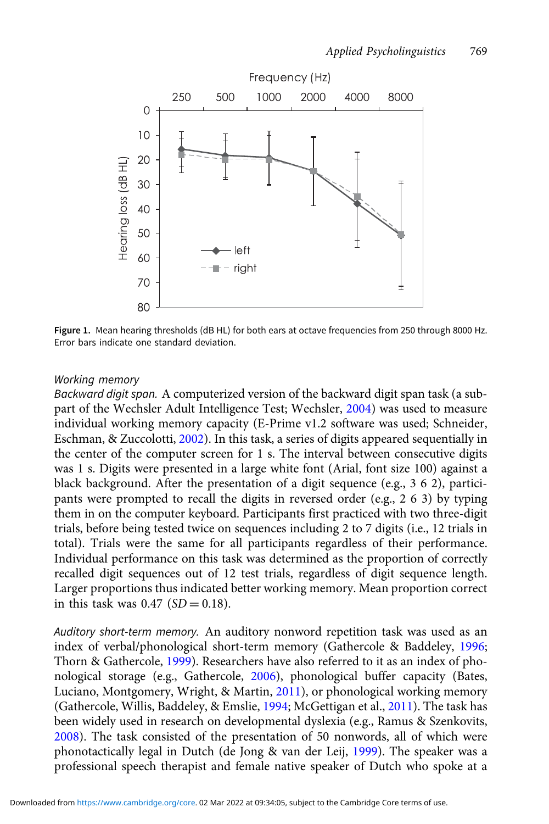<span id="page-7-0"></span>

Figure 1. Mean hearing thresholds (dB HL) for both ears at octave frequencies from 250 through 8000 Hz. Error bars indicate one standard deviation.

#### Working memory

Backward digit span. A computerized version of the backward digit span task (a subpart of the Wechsler Adult Intelligence Test; Wechsler, [2004](#page-28-0)) was used to measure individual working memory capacity (E-Prime v1.2 software was used; Schneider, Eschman, & Zuccolotti, [2002](#page-27-0)). In this task, a series of digits appeared sequentially in the center of the computer screen for 1 s. The interval between consecutive digits was 1 s. Digits were presented in a large white font (Arial, font size 100) against a black background. After the presentation of a digit sequence (e.g., 3 6 2), participants were prompted to recall the digits in reversed order (e.g., 2 6 3) by typing them in on the computer keyboard. Participants first practiced with two three-digit trials, before being tested twice on sequences including 2 to 7 digits (i.e., 12 trials in total). Trials were the same for all participants regardless of their performance. Individual performance on this task was determined as the proportion of correctly recalled digit sequences out of 12 test trials, regardless of digit sequence length. Larger proportions thus indicated better working memory. Mean proportion correct in this task was  $0.47$  (SD = 0.18).

Auditory short-term memory. An auditory nonword repetition task was used as an index of verbal/phonological short-term memory (Gathercole & Baddeley, [1996](#page-25-0); Thorn & Gathercole, [1999](#page-27-0)). Researchers have also referred to it as an index of phonological storage (e.g., Gathercole, [2006\)](#page-25-0), phonological buffer capacity (Bates, Luciano, Montgomery, Wright, & Martin, [2011](#page-24-0)), or phonological working memory (Gathercole, Willis, Baddeley, & Emslie, [1994;](#page-25-0) McGettigan et al., [2011](#page-26-0)). The task has been widely used in research on developmental dyslexia (e.g., Ramus & Szenkovits, [2008](#page-27-0)). The task consisted of the presentation of 50 nonwords, all of which were phonotactically legal in Dutch (de Jong & van der Leij, [1999](#page-25-0)). The speaker was a professional speech therapist and female native speaker of Dutch who spoke at a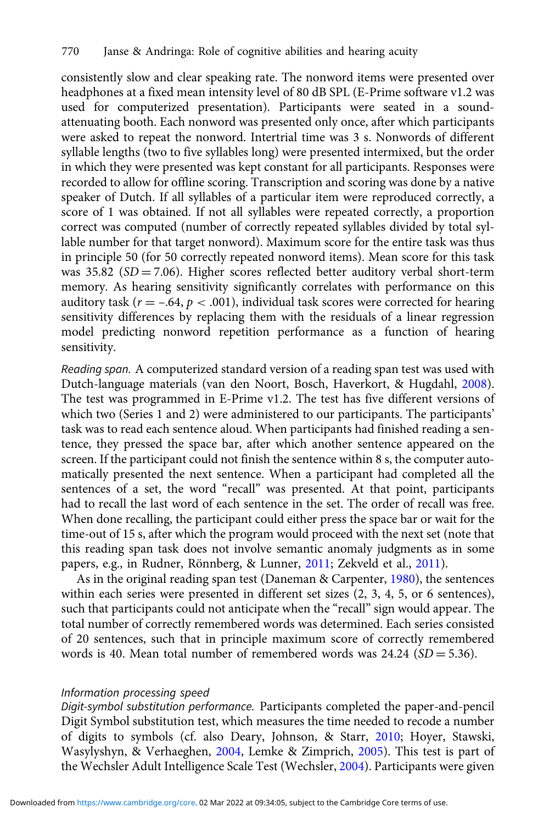consistently slow and clear speaking rate. The nonword items were presented over headphones at a fixed mean intensity level of 80 dB SPL (E-Prime software v1.2 was used for computerized presentation). Participants were seated in a soundattenuating booth. Each nonword was presented only once, after which participants were asked to repeat the nonword. Intertrial time was 3 s. Nonwords of different syllable lengths (two to five syllables long) were presented intermixed, but the order in which they were presented was kept constant for all participants. Responses were recorded to allow for offline scoring. Transcription and scoring was done by a native speaker of Dutch. If all syllables of a particular item were reproduced correctly, a score of 1 was obtained. If not all syllables were repeated correctly, a proportion correct was computed (number of correctly repeated syllables divided by total syllable number for that target nonword). Maximum score for the entire task was thus in principle 50 (for 50 correctly repeated nonword items). Mean score for this task was  $35.82$  (SD = 7.06). Higher scores reflected better auditory verbal short-term memory. As hearing sensitivity significantly correlates with performance on this auditory task ( $r = -.64$ ,  $p < .001$ ), individual task scores were corrected for hearing sensitivity differences by replacing them with the residuals of a linear regression model predicting nonword repetition performance as a function of hearing sensitivity.

Reading span. A computerized standard version of a reading span test was used with Dutch-language materials (van den Noort, Bosch, Haverkort, & Hugdahl, [2008](#page-27-0)). The test was programmed in E-Prime v1.2. The test has five different versions of which two (Series 1 and 2) were administered to our participants. The participants' task was to read each sentence aloud. When participants had finished reading a sentence, they pressed the space bar, after which another sentence appeared on the screen. If the participant could not finish the sentence within 8 s, the computer automatically presented the next sentence. When a participant had completed all the sentences of a set, the word "recall" was presented. At that point, participants had to recall the last word of each sentence in the set. The order of recall was free. When done recalling, the participant could either press the space bar or wait for the time-out of 15 s, after which the program would proceed with the next set (note that this reading span task does not involve semantic anomaly judgments as in some papers, e.g., in Rudner, Rönnberg, & Lunner, [2011](#page-27-0); Zekveld et al., [2011\)](#page-28-0).

As in the original reading span test (Daneman & Carpenter, [1980\)](#page-25-0), the sentences within each series were presented in different set sizes (2, 3, 4, 5, or 6 sentences), such that participants could not anticipate when the "recall" sign would appear. The total number of correctly remembered words was determined. Each series consisted of 20 sentences, such that in principle maximum score of correctly remembered words is 40. Mean total number of remembered words was  $24.24$  (SD = 5.36).

#### Information processing speed

Digit-symbol substitution performance. Participants completed the paper-and-pencil Digit Symbol substitution test, which measures the time needed to recode a number of digits to symbols (cf. also Deary, Johnson, & Starr, [2010](#page-25-0); Hoyer, Stawski, Wasylyshyn, & Verhaeghen, [2004](#page-25-0), Lemke & Zimprich, [2005\)](#page-26-0). This test is part of the Wechsler Adult Intelligence Scale Test (Wechsler, [2004\)](#page-28-0). Participants were given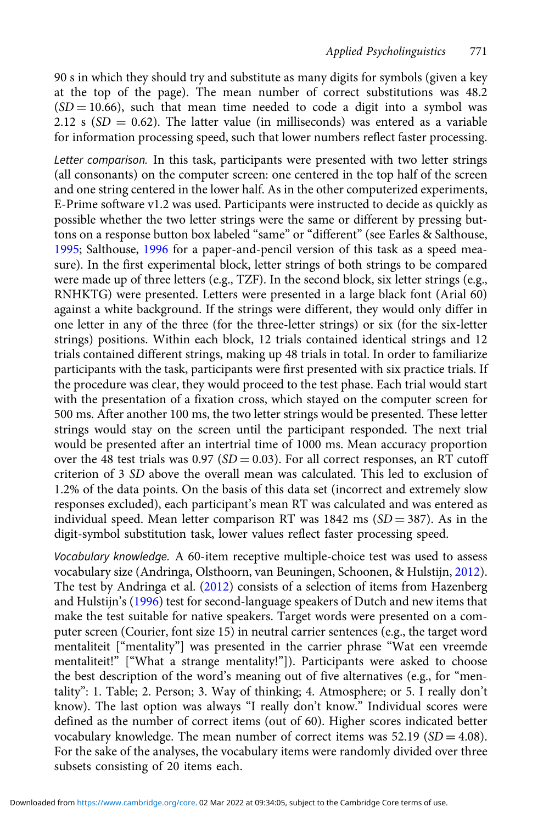90 s in which they should try and substitute as many digits for symbols (given a key at the top of the page). The mean number of correct substitutions was 48.2  $(SD = 10.66)$ , such that mean time needed to code a digit into a symbol was 2.12 s  $(SD = 0.62)$ . The latter value (in milliseconds) was entered as a variable for information processing speed, such that lower numbers reflect faster processing.

Letter comparison. In this task, participants were presented with two letter strings (all consonants) on the computer screen: one centered in the top half of the screen and one string centered in the lower half. As in the other computerized experiments, E-Prime software v1.2 was used. Participants were instructed to decide as quickly as possible whether the two letter strings were the same or different by pressing buttons on a response button box labeled "same" or "different" (see Earles & Salthouse, [1995](#page-25-0); Salthouse, [1996](#page-27-0) for a paper-and-pencil version of this task as a speed measure). In the first experimental block, letter strings of both strings to be compared were made up of three letters (e.g., TZF). In the second block, six letter strings (e.g., RNHKTG) were presented. Letters were presented in a large black font (Arial 60) against a white background. If the strings were different, they would only differ in one letter in any of the three (for the three-letter strings) or six (for the six-letter strings) positions. Within each block, 12 trials contained identical strings and 12 trials contained different strings, making up 48 trials in total. In order to familiarize participants with the task, participants were first presented with six practice trials. If the procedure was clear, they would proceed to the test phase. Each trial would start with the presentation of a fixation cross, which stayed on the computer screen for 500 ms. After another 100 ms, the two letter strings would be presented. These letter strings would stay on the screen until the participant responded. The next trial would be presented after an intertrial time of 1000 ms. Mean accuracy proportion over the 48 test trials was  $0.97$  (SD = 0.03). For all correct responses, an RT cutoff criterion of 3 SD above the overall mean was calculated. This led to exclusion of 1.2% of the data points. On the basis of this data set (incorrect and extremely slow responses excluded), each participant's mean RT was calculated and was entered as individual speed. Mean letter comparison RT was  $1842 \text{ ms } (SD = 387)$ . As in the digit-symbol substitution task, lower values reflect faster processing speed.

Vocabulary knowledge. A 60-item receptive multiple-choice test was used to assess vocabulary size (Andringa, Olsthoorn, van Beuningen, Schoonen, & Hulstijn, [2012\)](#page-24-0). The test by Andringa et al. [\(2012\)](#page-24-0) consists of a selection of items from Hazenberg and Hulstijn's ([1996\)](#page-25-0) test for second-language speakers of Dutch and new items that make the test suitable for native speakers. Target words were presented on a computer screen (Courier, font size 15) in neutral carrier sentences (e.g., the target word mentaliteit ["mentality"] was presented in the carrier phrase "Wat een vreemde mentaliteit!" ["What a strange mentality!"]). Participants were asked to choose the best description of the word's meaning out of five alternatives (e.g., for "mentality": 1. Table; 2. Person; 3. Way of thinking; 4. Atmosphere; or 5. I really don't know). The last option was always "I really don't know." Individual scores were defined as the number of correct items (out of 60). Higher scores indicated better vocabulary knowledge. The mean number of correct items was  $52.19$  ( $SD = 4.08$ ). For the sake of the analyses, the vocabulary items were randomly divided over three subsets consisting of 20 items each.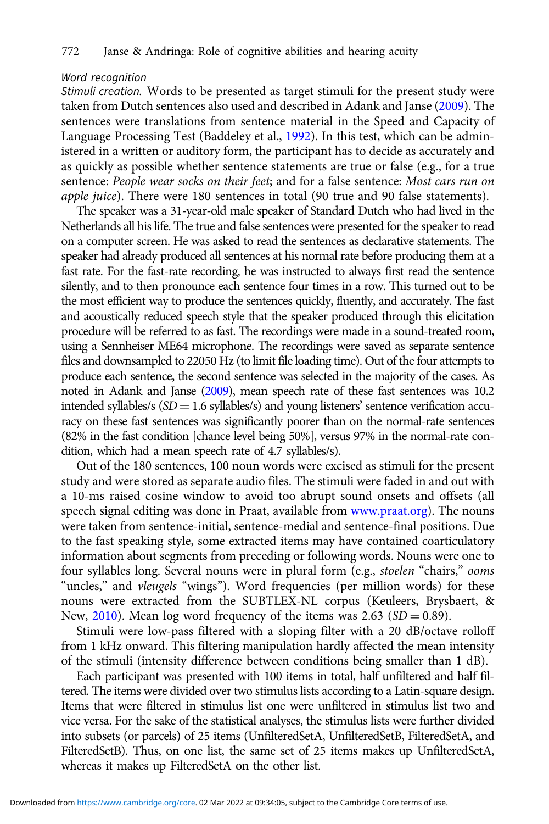#### Word recognition

Stimuli creation. Words to be presented as target stimuli for the present study were taken from Dutch sentences also used and described in Adank and Janse [\(2009](#page-24-0)). The sentences were translations from sentence material in the Speed and Capacity of Language Processing Test (Baddeley et al., [1992\)](#page-24-0). In this test, which can be administered in a written or auditory form, the participant has to decide as accurately and as quickly as possible whether sentence statements are true or false (e.g., for a true sentence: People wear socks on their feet; and for a false sentence: Most cars run on apple juice). There were 180 sentences in total (90 true and 90 false statements).

The speaker was a 31-year-old male speaker of Standard Dutch who had lived in the Netherlands all his life. The true and false sentences were presented for the speaker to read on a computer screen. He was asked to read the sentences as declarative statements. The speaker had already produced all sentences at his normal rate before producing them at a fast rate. For the fast-rate recording, he was instructed to always first read the sentence silently, and to then pronounce each sentence four times in a row. This turned out to be the most efficient way to produce the sentences quickly, fluently, and accurately. The fast and acoustically reduced speech style that the speaker produced through this elicitation procedure will be referred to as fast. The recordings were made in a sound-treated room, using a Sennheiser ME64 microphone. The recordings were saved as separate sentence files and downsampled to 22050 Hz (to limit file loading time). Out of the four attempts to produce each sentence, the second sentence was selected in the majority of the cases. As noted in Adank and Janse [\(2009](#page-24-0)), mean speech rate of these fast sentences was 10.2 intended syllables/s  $(SD = 1.6$  syllables/s) and young listeners' sentence verification accuracy on these fast sentences was significantly poorer than on the normal-rate sentences (82% in the fast condition [chance level being 50%], versus 97% in the normal-rate condition, which had a mean speech rate of 4.7 syllables/s).

Out of the 180 sentences, 100 noun words were excised as stimuli for the present study and were stored as separate audio files. The stimuli were faded in and out with a 10-ms raised cosine window to avoid too abrupt sound onsets and offsets (all speech signal editing was done in Praat, available from [www.praat.org](http://www.praat.org)). The nouns were taken from sentence-initial, sentence-medial and sentence-final positions. Due to the fast speaking style, some extracted items may have contained coarticulatory information about segments from preceding or following words. Nouns were one to four syllables long. Several nouns were in plural form (e.g., stoelen "chairs," ooms "uncles," and *vleugels* "wings"). Word frequencies (per million words) for these nouns were extracted from the SUBTLEX-NL corpus (Keuleers, Brysbaert, & New,  $2010$ ). Mean log word frequency of the items was 2.63 (SD = 0.89).

Stimuli were low-pass filtered with a sloping filter with a 20 dB/octave rolloff from 1 kHz onward. This filtering manipulation hardly affected the mean intensity of the stimuli (intensity difference between conditions being smaller than 1 dB).

Each participant was presented with 100 items in total, half unfiltered and half filtered. The items were divided over two stimulus lists according to a Latin-square design. Items that were filtered in stimulus list one were unfiltered in stimulus list two and vice versa. For the sake of the statistical analyses, the stimulus lists were further divided into subsets (or parcels) of 25 items (UnfilteredSetA, UnfilteredSetB, FilteredSetA, and FilteredSetB). Thus, on one list, the same set of 25 items makes up UnfilteredSetA, whereas it makes up FilteredSetA on the other list.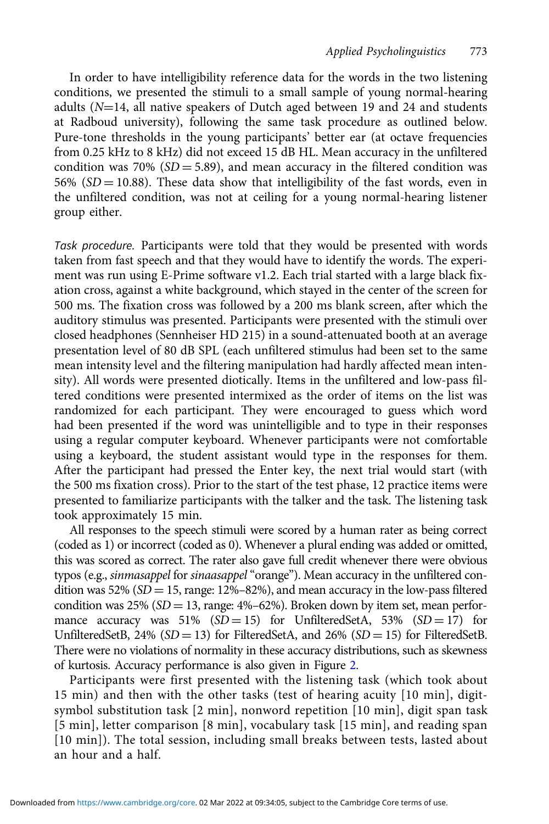In order to have intelligibility reference data for the words in the two listening conditions, we presented the stimuli to a small sample of young normal-hearing adults  $(N=14$ , all native speakers of Dutch aged between 19 and 24 and students at Radboud university), following the same task procedure as outlined below. Pure-tone thresholds in the young participants' better ear (at octave frequencies from 0.25 kHz to 8 kHz) did not exceed 15 dB HL. Mean accuracy in the unfiltered condition was 70% ( $SD = 5.89$ ), and mean accuracy in the filtered condition was 56% ( $SD = 10.88$ ). These data show that intelligibility of the fast words, even in the unfiltered condition, was not at ceiling for a young normal-hearing listener group either.

Task procedure. Participants were told that they would be presented with words taken from fast speech and that they would have to identify the words. The experiment was run using E-Prime software v1.2. Each trial started with a large black fixation cross, against a white background, which stayed in the center of the screen for 500 ms. The fixation cross was followed by a 200 ms blank screen, after which the auditory stimulus was presented. Participants were presented with the stimuli over closed headphones (Sennheiser HD 215) in a sound-attenuated booth at an average presentation level of 80 dB SPL (each unfiltered stimulus had been set to the same mean intensity level and the filtering manipulation had hardly affected mean intensity). All words were presented diotically. Items in the unfiltered and low-pass filtered conditions were presented intermixed as the order of items on the list was randomized for each participant. They were encouraged to guess which word had been presented if the word was unintelligible and to type in their responses using a regular computer keyboard. Whenever participants were not comfortable using a keyboard, the student assistant would type in the responses for them. After the participant had pressed the Enter key, the next trial would start (with the 500 ms fixation cross). Prior to the start of the test phase, 12 practice items were presented to familiarize participants with the talker and the task. The listening task took approximately 15 min.

All responses to the speech stimuli were scored by a human rater as being correct (coded as 1) or incorrect (coded as 0). Whenever a plural ending was added or omitted, this was scored as correct. The rater also gave full credit whenever there were obvious typos (e.g., sinmasappel for sinaasappel "orange"). Mean accuracy in the unfiltered condition was 52% ( $SD = 15$ , range: 12%–82%), and mean accuracy in the low-pass filtered condition was  $25\%$  (SD = 13, range: 4%–62%). Broken down by item set, mean performance accuracy was  $51\%$  (SD = 15) for UnfilteredSetA,  $53\%$  (SD = 17) for UnfilteredSetB,  $24\%$  (SD = 13) for FilteredSetA, and  $26\%$  (SD = 15) for FilteredSetB. There were no violations of normality in these accuracy distributions, such as skewness of kurtosis. Accuracy performance is also given in Figure [2](#page-12-0).

Participants were first presented with the listening task (which took about 15 min) and then with the other tasks (test of hearing acuity [10 min], digitsymbol substitution task [2 min], nonword repetition [10 min], digit span task [5 min], letter comparison [8 min], vocabulary task [15 min], and reading span [10 min]). The total session, including small breaks between tests, lasted about an hour and a half.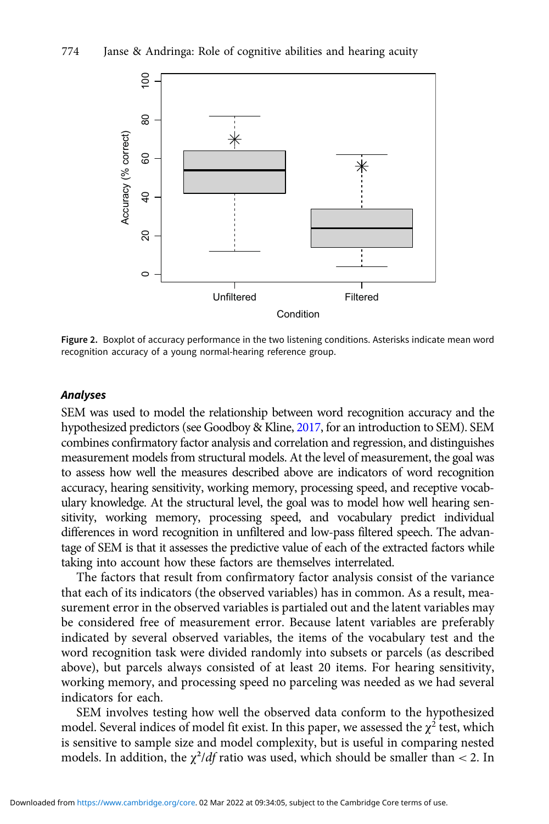<span id="page-12-0"></span>

Figure 2. Boxplot of accuracy performance in the two listening conditions. Asterisks indicate mean word recognition accuracy of a young normal-hearing reference group.

#### Analyses

SEM was used to model the relationship between word recognition accuracy and the hypothesized predictors (see Goodboy & Kline, [2017,](#page-25-0) for an introduction to SEM). SEM combines confirmatory factor analysis and correlation and regression, and distinguishes measurement models from structural models. At the level of measurement, the goal was to assess how well the measures described above are indicators of word recognition accuracy, hearing sensitivity, working memory, processing speed, and receptive vocabulary knowledge. At the structural level, the goal was to model how well hearing sensitivity, working memory, processing speed, and vocabulary predict individual differences in word recognition in unfiltered and low-pass filtered speech. The advantage of SEM is that it assesses the predictive value of each of the extracted factors while taking into account how these factors are themselves interrelated.

The factors that result from confirmatory factor analysis consist of the variance that each of its indicators (the observed variables) has in common. As a result, measurement error in the observed variables is partialed out and the latent variables may be considered free of measurement error. Because latent variables are preferably indicated by several observed variables, the items of the vocabulary test and the word recognition task were divided randomly into subsets or parcels (as described above), but parcels always consisted of at least 20 items. For hearing sensitivity, working memory, and processing speed no parceling was needed as we had several indicators for each.

SEM involves testing how well the observed data conform to the hypothesized model. Several indices of model fit exist. In this paper, we assessed the  $\chi^2$  test, which is sensitive to sample size and model complexity, but is useful in comparing nested models. In addition, the  $\chi^2/df$  ratio was used, which should be smaller than < 2. In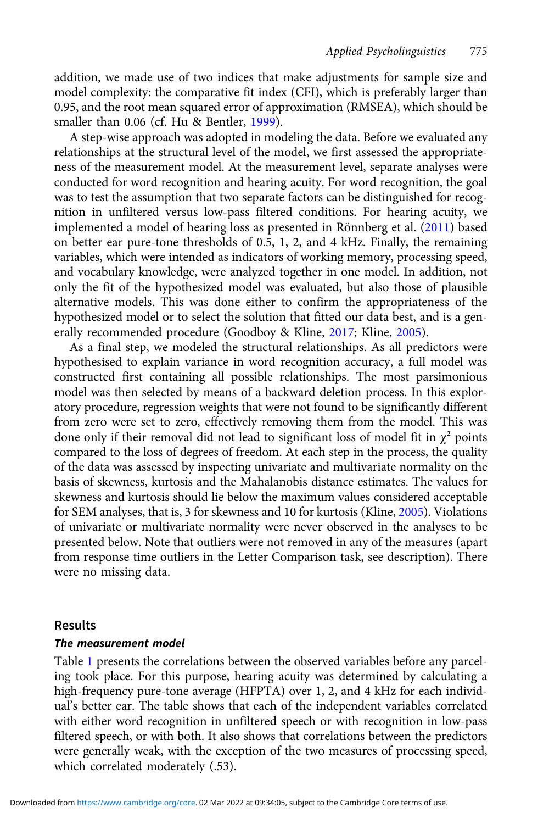addition, we made use of two indices that make adjustments for sample size and model complexity: the comparative fit index (CFI), which is preferably larger than 0.95, and the root mean squared error of approximation (RMSEA), which should be smaller than 0.06 (cf. Hu & Bentler, [1999](#page-25-0)).

A step-wise approach was adopted in modeling the data. Before we evaluated any relationships at the structural level of the model, we first assessed the appropriateness of the measurement model. At the measurement level, separate analyses were conducted for word recognition and hearing acuity. For word recognition, the goal was to test the assumption that two separate factors can be distinguished for recognition in unfiltered versus low-pass filtered conditions. For hearing acuity, we implemented a model of hearing loss as presented in Rönnberg et al. [\(2011](#page-27-0)) based on better ear pure-tone thresholds of 0.5, 1, 2, and 4 kHz. Finally, the remaining variables, which were intended as indicators of working memory, processing speed, and vocabulary knowledge, were analyzed together in one model. In addition, not only the fit of the hypothesized model was evaluated, but also those of plausible alternative models. This was done either to confirm the appropriateness of the hypothesized model or to select the solution that fitted our data best, and is a generally recommended procedure (Goodboy & Kline, [2017;](#page-25-0) Kline, [2005\)](#page-26-0).

As a final step, we modeled the structural relationships. As all predictors were hypothesised to explain variance in word recognition accuracy, a full model was constructed first containing all possible relationships. The most parsimonious model was then selected by means of a backward deletion process. In this exploratory procedure, regression weights that were not found to be significantly different from zero were set to zero, effectively removing them from the model. This was done only if their removal did not lead to significant loss of model fit in  $\chi^2$  points compared to the loss of degrees of freedom. At each step in the process, the quality of the data was assessed by inspecting univariate and multivariate normality on the basis of skewness, kurtosis and the Mahalanobis distance estimates. The values for skewness and kurtosis should lie below the maximum values considered acceptable for SEM analyses, that is, 3 for skewness and 10 for kurtosis (Kline, [2005](#page-26-0)). Violations of univariate or multivariate normality were never observed in the analyses to be presented below. Note that outliers were not removed in any of the measures (apart from response time outliers in the Letter Comparison task, see description). There were no missing data.

#### Results

#### The measurement model

Table [1](#page-14-0) presents the correlations between the observed variables before any parceling took place. For this purpose, hearing acuity was determined by calculating a high-frequency pure-tone average (HFPTA) over 1, 2, and 4 kHz for each individual's better ear. The table shows that each of the independent variables correlated with either word recognition in unfiltered speech or with recognition in low-pass filtered speech, or with both. It also shows that correlations between the predictors were generally weak, with the exception of the two measures of processing speed, which correlated moderately (.53).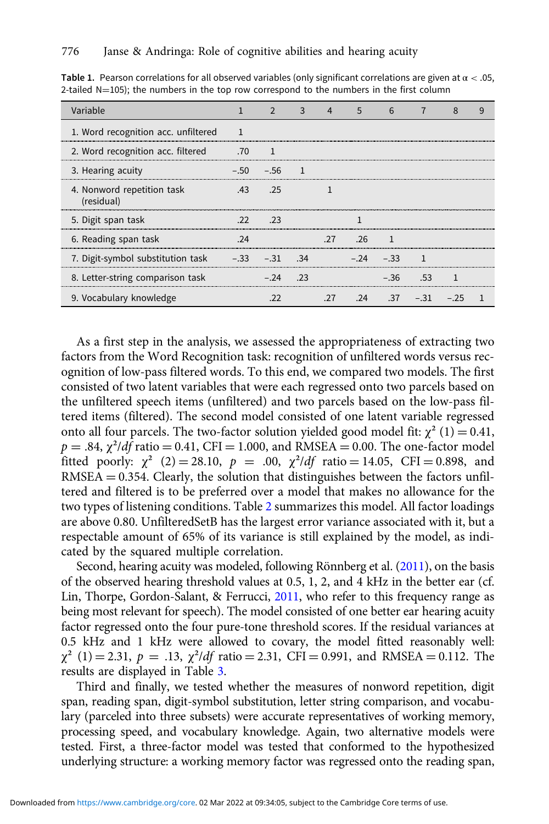| Variable                                        |     |                              | 3   | 4   | 5   | 6            |                                       | 8 | 9 |
|-------------------------------------------------|-----|------------------------------|-----|-----|-----|--------------|---------------------------------------|---|---|
| 1. Word recognition acc. unfiltered             |     |                              |     |     |     |              |                                       |   |   |
| 2. Word recognition acc. filtered               | .70 |                              |     |     |     |              |                                       |   |   |
| 3. Hearing acuity                               |     | $-.50 - .56 1$               |     |     |     |              |                                       |   |   |
| 4. Nonword repetition task<br>(residual)        | .43 | $\overline{\phantom{0}}$ .25 |     |     |     |              |                                       |   |   |
| 5. Digit span task                              |     | $.22 \t  .23$                |     |     |     |              |                                       |   |   |
| 6. Reading span task                            |     |                              |     | .27 | .26 |              |                                       |   |   |
| 7. Digit-symbol substitution task -.33 -.31 .34 |     |                              |     |     |     | $-.24 - .33$ |                                       |   |   |
| 8. Letter-string comparison task                |     | $-.24$                       | .23 |     |     |              | $-.36$ .53                            |   |   |
| 9. Vocabulary knowledge                         |     |                              |     |     |     |              | $.27 \t .24 \t .37 \t - .31 \t - .25$ |   |   |

<span id="page-14-0"></span>Table 1. Pearson correlations for all observed variables (only significant correlations are given at  $\alpha < .05$ , 2-tailed  $N=105$ ); the numbers in the top row correspond to the numbers in the first column

As a first step in the analysis, we assessed the appropriateness of extracting two factors from the Word Recognition task: recognition of unfiltered words versus recognition of low-pass filtered words. To this end, we compared two models. The first consisted of two latent variables that were each regressed onto two parcels based on the unfiltered speech items (unfiltered) and two parcels based on the low-pass filtered items (filtered). The second model consisted of one latent variable regressed onto all four parcels. The two-factor solution yielded good model fit:  $\chi^2$  (1) = 0.41,  $p = .84$ ,  $\chi^2/df$  ratio = 0.41, CFI = 1.000, and RMSEA = 0.00. The one-factor model fitted poorly:  $\chi^2$  (2) = 28.10,  $p = .00$ ,  $\chi^2/df$  ratio = 14.05, CFI = 0.898, and  $RMSEA = 0.354$ . Clearly, the solution that distinguishes between the factors unfiltered and filtered is to be preferred over a model that makes no allowance for the two types of listening conditions. Table [2](#page-15-0) summarizes this model. All factor loadings are above 0.80. UnfilteredSetB has the largest error variance associated with it, but a respectable amount of 65% of its variance is still explained by the model, as indicated by the squared multiple correlation.

Second, hearing acuity was modeled, following Rönnberg et al. ([2011](#page-27-0)), on the basis of the observed hearing threshold values at 0.5, 1, 2, and 4 kHz in the better ear (cf. Lin, Thorpe, Gordon-Salant, & Ferrucci, [2011,](#page-26-0) who refer to this frequency range as being most relevant for speech). The model consisted of one better ear hearing acuity factor regressed onto the four pure-tone threshold scores. If the residual variances at 0.5 kHz and 1 kHz were allowed to covary, the model fitted reasonably well:  $\chi^2$  (1) = 2.31, p = .13,  $\chi^2/df$  ratio = 2.31, CFI = 0.991, and RMSEA = 0.112. The results are displayed in Table [3.](#page-15-0)

Third and finally, we tested whether the measures of nonword repetition, digit span, reading span, digit-symbol substitution, letter string comparison, and vocabulary (parceled into three subsets) were accurate representatives of working memory, processing speed, and vocabulary knowledge. Again, two alternative models were tested. First, a three-factor model was tested that conformed to the hypothesized underlying structure: a working memory factor was regressed onto the reading span,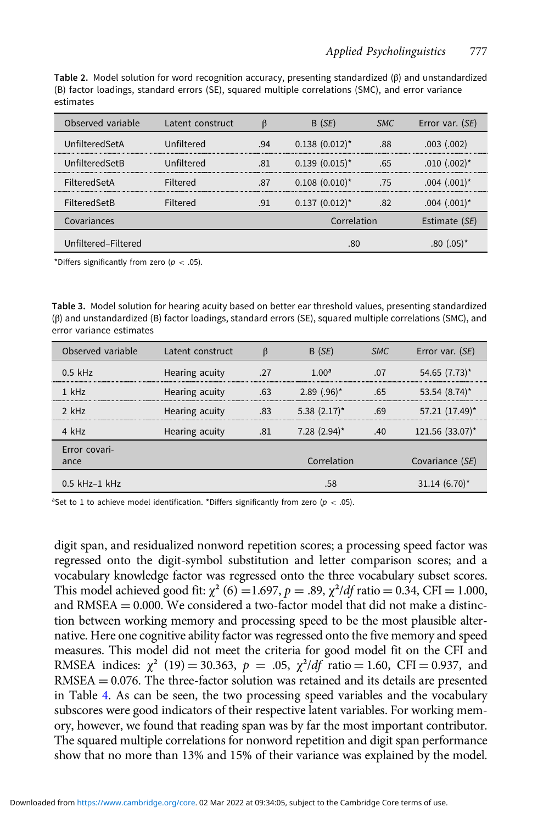<span id="page-15-0"></span>Table 2. Model solution for word recognition accuracy, presenting standardized (β) and unstandardized (B) factor loadings, standard errors (SE), squared multiple correlations (SMC), and error variance estimates

| Observed variable   | Latent construct |     | B (SE)              | <b>SMC</b> | Error var. (SE)           |
|---------------------|------------------|-----|---------------------|------------|---------------------------|
| UnfilteredSetA      | Unfiltered       | .94 | $0.138$ $(0.012)^*$ | .88        | $.003$ $(.002)$           |
| UnfilteredSetB      | Unfiltered       | .81 | $0.139$ $(0.015)^*$ | .65        | $.010(.002)^*$            |
| <b>FilteredSetA</b> | Filtered         | .87 | $0.108$ $(0.010)^*$ | .75        | $.004(.001)$ <sup>*</sup> |
| FilteredSetB        | Filtered         | .91 | $0.137$ $(0.012)^*$ | .82        | $.004(.001)$ <sup>*</sup> |
| Covariances         |                  |     | Correlation         |            | Estimate (SE)             |
| Unfiltered-Filtered |                  |     | .80                 |            | .80 (.05) *               |

\*Differs significantly from zero ( $p < .05$ ).

Table 3. Model solution for hearing acuity based on better ear threshold values, presenting standardized (β) and unstandardized (B) factor loadings, standard errors (SE), squared multiple correlations (SMC), and error variance estimates

| Observed variable     | Latent construct |     | B(SE)                      | <b>SMC</b> | Error var. (SE)               |
|-----------------------|------------------|-----|----------------------------|------------|-------------------------------|
| $0.5$ kHz             | Hearing acuity   | .27 | 1.00 <sup>a</sup>          | .07        | $54.65$ (7.73) <sup>*</sup>   |
| $1$ kHz               | Hearing acuity   | .63 | $2.89$ (.96) <sup>*</sup>  | .65        | 53.54 $(8.74)^*$              |
| $2$ kHz               | Hearing acuity   | .83 | $5.38(2.17)^*$             | .69        | $57.21$ $(17.49)^*$           |
| 4 kHz                 | Hearing acuity   | .81 | $7.28$ (2.94) <sup>*</sup> | .40        | $121.56$ (33.07) <sup>*</sup> |
| Error covari-<br>ance |                  |     | Correlation                |            | Covariance (SE)               |
| $0.5$ kHz-1 kHz       |                  |     | .58                        |            | $31.14 (6.70)^*$              |

<sup>a</sup>Set to 1 to achieve model identification. \*Differs significantly from zero ( $p < .05$ ).

digit span, and residualized nonword repetition scores; a processing speed factor was regressed onto the digit-symbol substitution and letter comparison scores; and a vocabulary knowledge factor was regressed onto the three vocabulary subset scores. This model achieved good fit:  $\chi^2$  (6) = 1.697, p = .89,  $\chi^2/df$  ratio = 0.34, CFI = 1.000, and  $RMSEA = 0.000$ . We considered a two-factor model that did not make a distinction between working memory and processing speed to be the most plausible alternative. Here one cognitive ability factor was regressed onto the five memory and speed measures. This model did not meet the criteria for good model fit on the CFI and RMSEA indices:  $\chi^2$  (19) = 30.363, p = .05,  $\chi^2/df$  ratio = 1.60, CFI = 0.937, and RMSEA = 0.076. The three-factor solution was retained and its details are presented in Table [4.](#page-16-0) As can be seen, the two processing speed variables and the vocabulary subscores were good indicators of their respective latent variables. For working memory, however, we found that reading span was by far the most important contributor. The squared multiple correlations for nonword repetition and digit span performance show that no more than 13% and 15% of their variance was explained by the model.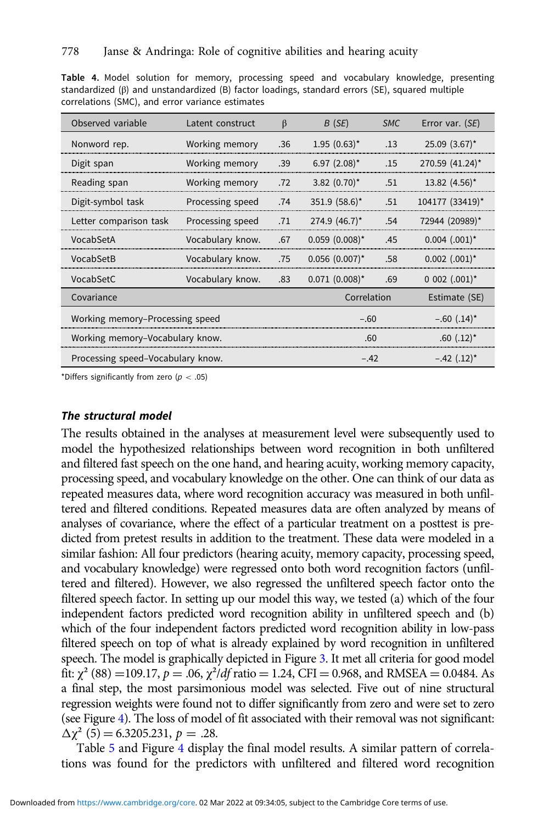<span id="page-16-0"></span>Table 4. Model solution for memory, processing speed and vocabulary knowledge, presenting standardized (β) and unstandardized (B) factor loadings, standard errors (SE), squared multiple correlations (SMC), and error variance estimates

| Observed variable                 | Latent construct | $\beta$     | B(SE)                      | <b>SMC</b>    | Error var. (SE)             |
|-----------------------------------|------------------|-------------|----------------------------|---------------|-----------------------------|
| Nonword rep.                      | Working memory   | .36         | $1.95(0.63)$ *             | .13           | $25.09$ $(3.67)^*$          |
| Digit span                        | Working memory   | .39         | 6.97 $(2.08)^*$            | .15           | 270.59 (41.24)*             |
| Reading span                      | Working memory   | .72         | $3.82$ (0.70) <sup>*</sup> | .51           | $13.82$ (4.56) <sup>*</sup> |
| Digit-symbol task                 | Processing speed | .74         | 351.9 (58.6)*              | .51           | 104177 (33419)*             |
| Letter comparison task            | Processing speed | .71         | 274.9 (46.7)*              | .54           | 72944 (20989)*              |
| VocabSetA                         | Vocabulary know. | .67         | $0.059$ $(0.008)^*$        | .45           | $0.004$ $(.001)^*$          |
| VocabSetB                         | Vocabulary know. | .75         | $0.056$ $(0.007)^*$        | .58           | $0.002$ $(.001)^*$          |
| VocabSetC                         | Vocabulary know. | .83         | $0.071$ $(0.008)^*$        | .69           | $0.002$ $(.001)^*$          |
| Covariance                        |                  | Correlation |                            | Estimate (SE) |                             |
| Working memory-Processing speed   |                  |             | $-.60$                     |               | $-.60(.14)$ *               |
| Working memory-Vocabulary know.   |                  |             | .60                        |               | $.60$ $(.12)^*$             |
| Processing speed-Vocabulary know. |                  |             | $-42$                      |               | $-.42$ (.12) <sup>*</sup>   |

\*Differs significantly from zero ( $p < .05$ )

#### The structural model

The results obtained in the analyses at measurement level were subsequently used to model the hypothesized relationships between word recognition in both unfiltered and filtered fast speech on the one hand, and hearing acuity, working memory capacity, processing speed, and vocabulary knowledge on the other. One can think of our data as repeated measures data, where word recognition accuracy was measured in both unfiltered and filtered conditions. Repeated measures data are often analyzed by means of analyses of covariance, where the effect of a particular treatment on a posttest is predicted from pretest results in addition to the treatment. These data were modeled in a similar fashion: All four predictors (hearing acuity, memory capacity, processing speed, and vocabulary knowledge) were regressed onto both word recognition factors (unfiltered and filtered). However, we also regressed the unfiltered speech factor onto the filtered speech factor. In setting up our model this way, we tested (a) which of the four independent factors predicted word recognition ability in unfiltered speech and (b) which of the four independent factors predicted word recognition ability in low-pass filtered speech on top of what is already explained by word recognition in unfiltered speech. The model is graphically depicted in Figure [3](#page-17-0). It met all criteria for good model fit:  $\chi^2$  (88) = 109.17, p = .06,  $\chi^2$ /df ratio = 1.24, CFI = 0.968, and RMSEA = 0.0484. As a final step, the most parsimonious model was selected. Five out of nine structural regression weights were found not to differ significantly from zero and were set to zero (see Figure [4](#page-17-0)). The loss of model of fit associated with their removal was not significant:  $\Delta \chi^2$  (5) = 6.3205.231, p = .28.

Table [5](#page-18-0) and Figure [4](#page-17-0) display the final model results. A similar pattern of correlations was found for the predictors with unfiltered and filtered word recognition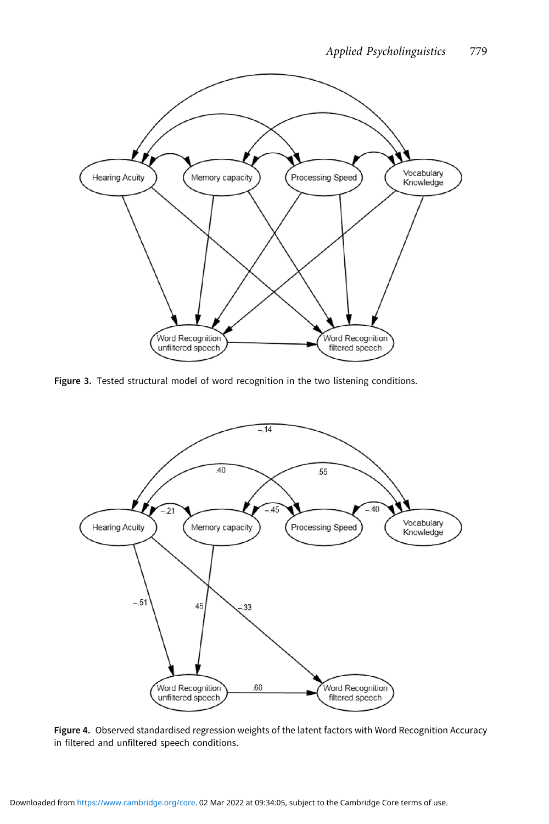<span id="page-17-0"></span>

Figure 3. Tested structural model of word recognition in the two listening conditions.



Figure 4. Observed standardised regression weights of the latent factors with Word Recognition Accuracy in filtered and unfiltered speech conditions.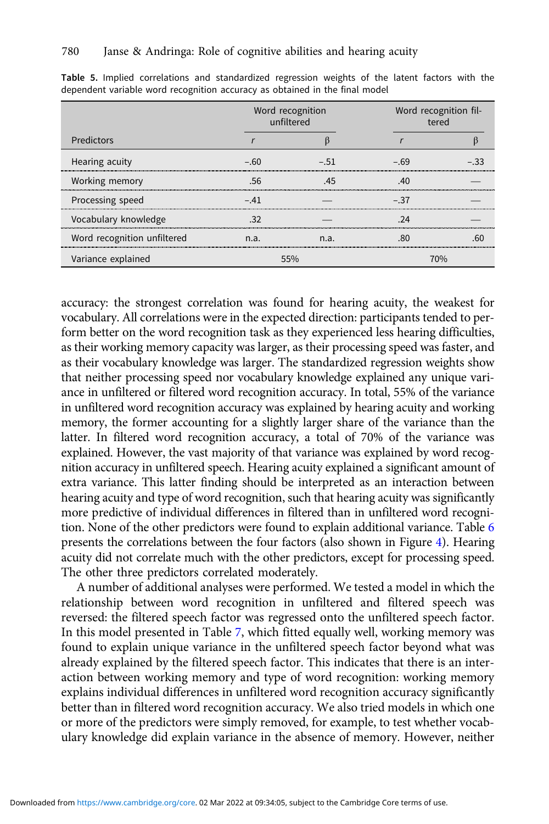|                             |      | Word recognition<br>unfiltered | Word recognition fil-<br>tered |  |  |  |
|-----------------------------|------|--------------------------------|--------------------------------|--|--|--|
| <b>Predictors</b>           |      |                                |                                |  |  |  |
| Hearing acuity              | - 60 | - 51                           | - 69                           |  |  |  |
| Working memory              |      |                                |                                |  |  |  |
| Processing speed            | - 41 |                                | $-37$                          |  |  |  |
| Vocabulary knowledge        |      |                                |                                |  |  |  |
| Word recognition unfiltered | n a  | n a                            |                                |  |  |  |
| Variance explained          |      |                                |                                |  |  |  |

<span id="page-18-0"></span>Table 5. Implied correlations and standardized regression weights of the latent factors with the dependent variable word recognition accuracy as obtained in the final model

accuracy: the strongest correlation was found for hearing acuity, the weakest for vocabulary. All correlations were in the expected direction: participants tended to perform better on the word recognition task as they experienced less hearing difficulties, as their working memory capacity was larger, as their processing speed was faster, and as their vocabulary knowledge was larger. The standardized regression weights show that neither processing speed nor vocabulary knowledge explained any unique variance in unfiltered or filtered word recognition accuracy. In total, 55% of the variance in unfiltered word recognition accuracy was explained by hearing acuity and working memory, the former accounting for a slightly larger share of the variance than the latter. In filtered word recognition accuracy, a total of 70% of the variance was explained. However, the vast majority of that variance was explained by word recognition accuracy in unfiltered speech. Hearing acuity explained a significant amount of extra variance. This latter finding should be interpreted as an interaction between hearing acuity and type of word recognition, such that hearing acuity was significantly more predictive of individual differences in filtered than in unfiltered word recognition. None of the other predictors were found to explain additional variance. Table [6](#page-19-0) presents the correlations between the four factors (also shown in Figure [4\)](#page-17-0). Hearing acuity did not correlate much with the other predictors, except for processing speed. The other three predictors correlated moderately.

A number of additional analyses were performed. We tested a model in which the relationship between word recognition in unfiltered and filtered speech was reversed: the filtered speech factor was regressed onto the unfiltered speech factor. In this model presented in Table [7](#page-19-0), which fitted equally well, working memory was found to explain unique variance in the unfiltered speech factor beyond what was already explained by the filtered speech factor. This indicates that there is an interaction between working memory and type of word recognition: working memory explains individual differences in unfiltered word recognition accuracy significantly better than in filtered word recognition accuracy. We also tried models in which one or more of the predictors were simply removed, for example, to test whether vocabulary knowledge did explain variance in the absence of memory. However, neither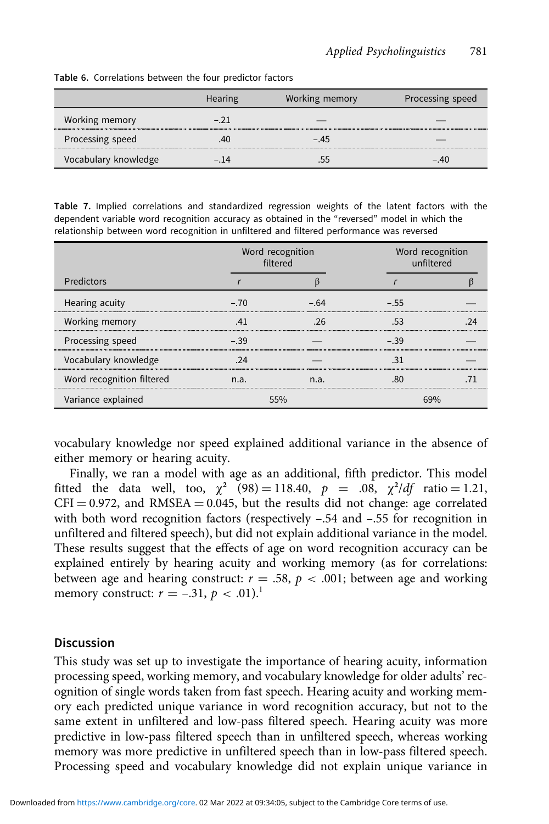| <b>Table 6.</b> Correlations between the four predictor factors |         |                |                  |  |  |
|-----------------------------------------------------------------|---------|----------------|------------------|--|--|
|                                                                 | Hearing | Working memory | Processing speed |  |  |
| Working memory                                                  |         |                |                  |  |  |
| Processing speed                                                |         | $-.45$         |                  |  |  |
| Vocabulary knowledge                                            | - 14    |                | $-.40$           |  |  |

<span id="page-19-0"></span>Table 6. Correlations between the four predictor factors

Table 7. Implied correlations and standardized regression weights of the latent factors with the dependent variable word recognition accuracy as obtained in the "reversed" model in which the relationship between word recognition in unfiltered and filtered performance was reversed

|                           |      | Word recognition<br>filtered | Word recognition<br>unfiltered |  |  |
|---------------------------|------|------------------------------|--------------------------------|--|--|
| Predictors                |      |                              |                                |  |  |
| Hearing acuity            | - 70 | - 64                         | - 55                           |  |  |
| Working memory            |      |                              |                                |  |  |
| Processing speed          | - 39 |                              | - 39                           |  |  |
| Vocabulary knowledge      |      |                              |                                |  |  |
| Word recognition filtered | n.a. | n.a.                         |                                |  |  |
| Variance explained        |      |                              |                                |  |  |

vocabulary knowledge nor speed explained additional variance in the absence of either memory or hearing acuity.

Finally, we ran a model with age as an additional, fifth predictor. This model fitted the data well, too,  $\chi^2$  (98) = 118.40,  $p = .08$ ,  $\chi^2/df$  ratio = 1.21,  $CFI = 0.972$ , and RMSEA = 0.045, but the results did not change: age correlated with both word recognition factors (respectively -.54 and -.55 for recognition in unfiltered and filtered speech), but did not explain additional variance in the model. These results suggest that the effects of age on word recognition accuracy can be explained entirely by hearing acuity and working memory (as for correlations: between age and hearing construct:  $r = .58$ ,  $p < .001$ ; between age and working memory construct:  $r = -.31, p < .01$ .<sup>1</sup>

#### **Discussion**

This study was set up to investigate the importance of hearing acuity, information processing speed, working memory, and vocabulary knowledge for older adults' recognition of single words taken from fast speech. Hearing acuity and working memory each predicted unique variance in word recognition accuracy, but not to the same extent in unfiltered and low-pass filtered speech. Hearing acuity was more predictive in low-pass filtered speech than in unfiltered speech, whereas working memory was more predictive in unfiltered speech than in low-pass filtered speech. Processing speed and vocabulary knowledge did not explain unique variance in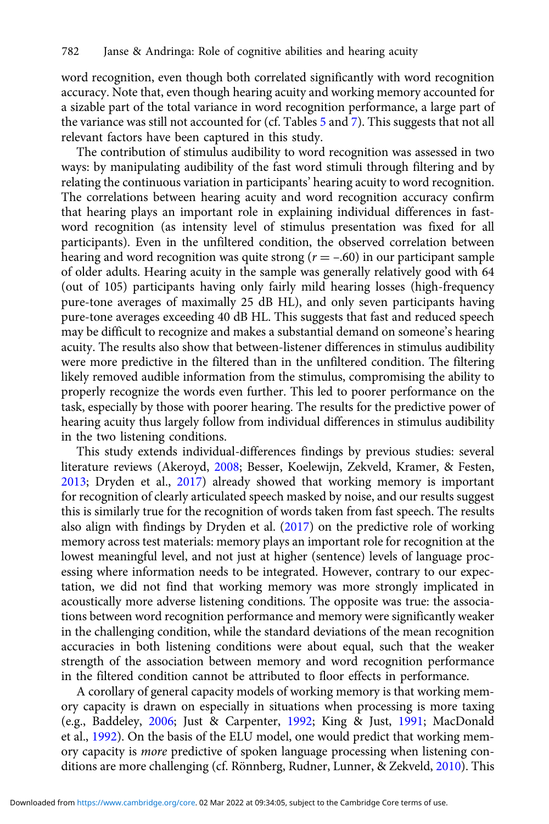word recognition, even though both correlated significantly with word recognition accuracy. Note that, even though hearing acuity and working memory accounted for a sizable part of the total variance in word recognition performance, a large part of the variance was still not accounted for (cf. Tables [5](#page-18-0) and [7\)](#page-19-0). This suggests that not all relevant factors have been captured in this study.

The contribution of stimulus audibility to word recognition was assessed in two ways: by manipulating audibility of the fast word stimuli through filtering and by relating the continuous variation in participants' hearing acuity to word recognition. The correlations between hearing acuity and word recognition accuracy confirm that hearing plays an important role in explaining individual differences in fastword recognition (as intensity level of stimulus presentation was fixed for all participants). Even in the unfiltered condition, the observed correlation between hearing and word recognition was quite strong ( $r = -.60$ ) in our participant sample of older adults. Hearing acuity in the sample was generally relatively good with 64 (out of 105) participants having only fairly mild hearing losses (high-frequency pure-tone averages of maximally 25 dB HL), and only seven participants having pure-tone averages exceeding 40 dB HL. This suggests that fast and reduced speech may be difficult to recognize and makes a substantial demand on someone's hearing acuity. The results also show that between-listener differences in stimulus audibility were more predictive in the filtered than in the unfiltered condition. The filtering likely removed audible information from the stimulus, compromising the ability to properly recognize the words even further. This led to poorer performance on the task, especially by those with poorer hearing. The results for the predictive power of hearing acuity thus largely follow from individual differences in stimulus audibility in the two listening conditions.

This study extends individual-differences findings by previous studies: several literature reviews (Akeroyd, [2008;](#page-24-0) Besser, Koelewijn, Zekveld, Kramer, & Festen, [2013;](#page-24-0) Dryden et al., [2017\)](#page-25-0) already showed that working memory is important for recognition of clearly articulated speech masked by noise, and our results suggest this is similarly true for the recognition of words taken from fast speech. The results also align with findings by Dryden et al. [\(2017\)](#page-25-0) on the predictive role of working memory across test materials: memory plays an important role for recognition at the lowest meaningful level, and not just at higher (sentence) levels of language processing where information needs to be integrated. However, contrary to our expectation, we did not find that working memory was more strongly implicated in acoustically more adverse listening conditions. The opposite was true: the associations between word recognition performance and memory were significantly weaker in the challenging condition, while the standard deviations of the mean recognition accuracies in both listening conditions were about equal, such that the weaker strength of the association between memory and word recognition performance in the filtered condition cannot be attributed to floor effects in performance.

A corollary of general capacity models of working memory is that working memory capacity is drawn on especially in situations when processing is more taxing (e.g., Baddeley, [2006](#page-24-0); Just & Carpenter, [1992](#page-26-0); King & Just, [1991](#page-26-0); MacDonald et al., [1992\)](#page-26-0). On the basis of the ELU model, one would predict that working memory capacity is more predictive of spoken language processing when listening conditions are more challenging (cf. Rönnberg, Rudner, Lunner, & Zekveld, [2010\)](#page-27-0). This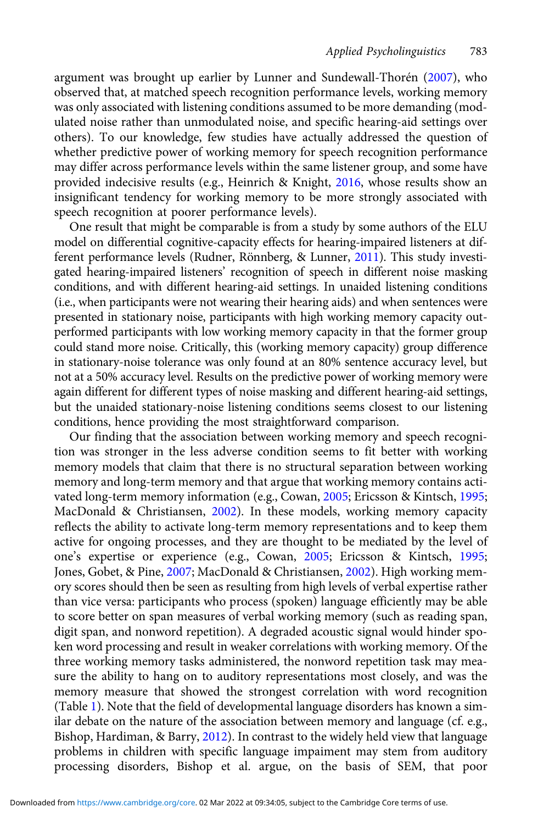argument was brought up earlier by Lunner and Sundewall-Thorén ([2007](#page-26-0)), who observed that, at matched speech recognition performance levels, working memory was only associated with listening conditions assumed to be more demanding (modulated noise rather than unmodulated noise, and specific hearing-aid settings over others). To our knowledge, few studies have actually addressed the question of whether predictive power of working memory for speech recognition performance may differ across performance levels within the same listener group, and some have provided indecisive results (e.g., Heinrich & Knight, [2016](#page-25-0), whose results show an insignificant tendency for working memory to be more strongly associated with speech recognition at poorer performance levels).

One result that might be comparable is from a study by some authors of the ELU model on differential cognitive-capacity effects for hearing-impaired listeners at different performance levels (Rudner, Rönnberg, & Lunner, [2011\)](#page-27-0). This study investigated hearing-impaired listeners' recognition of speech in different noise masking conditions, and with different hearing-aid settings. In unaided listening conditions (i.e., when participants were not wearing their hearing aids) and when sentences were presented in stationary noise, participants with high working memory capacity outperformed participants with low working memory capacity in that the former group could stand more noise. Critically, this (working memory capacity) group difference in stationary-noise tolerance was only found at an 80% sentence accuracy level, but not at a 50% accuracy level. Results on the predictive power of working memory were again different for different types of noise masking and different hearing-aid settings, but the unaided stationary-noise listening conditions seems closest to our listening conditions, hence providing the most straightforward comparison.

Our finding that the association between working memory and speech recognition was stronger in the less adverse condition seems to fit better with working memory models that claim that there is no structural separation between working memory and long-term memory and that argue that working memory contains activated long-term memory information (e.g., Cowan, [2005](#page-24-0); Ericsson & Kintsch, [1995](#page-25-0); MacDonald & Christiansen, [2002\)](#page-26-0). In these models, working memory capacity reflects the ability to activate long-term memory representations and to keep them active for ongoing processes, and they are thought to be mediated by the level of one's expertise or experience (e.g., Cowan, [2005](#page-24-0); Ericsson & Kintsch, [1995](#page-25-0); Jones, Gobet, & Pine, [2007](#page-26-0); MacDonald & Christiansen, [2002](#page-26-0)). High working memory scores should then be seen as resulting from high levels of verbal expertise rather than vice versa: participants who process (spoken) language efficiently may be able to score better on span measures of verbal working memory (such as reading span, digit span, and nonword repetition). A degraded acoustic signal would hinder spoken word processing and result in weaker correlations with working memory. Of the three working memory tasks administered, the nonword repetition task may measure the ability to hang on to auditory representations most closely, and was the memory measure that showed the strongest correlation with word recognition (Table [1\)](#page-14-0). Note that the field of developmental language disorders has known a similar debate on the nature of the association between memory and language (cf. e.g., Bishop, Hardiman, & Barry, [2012](#page-24-0)). In contrast to the widely held view that language problems in children with specific language impaiment may stem from auditory processing disorders, Bishop et al. argue, on the basis of SEM, that poor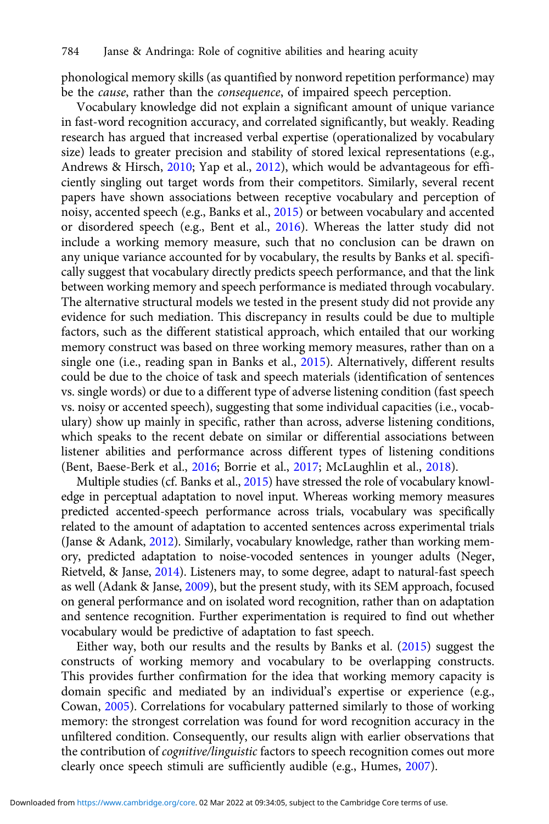phonological memory skills (as quantified by nonword repetition performance) may be the cause, rather than the consequence, of impaired speech perception.

Vocabulary knowledge did not explain a significant amount of unique variance in fast-word recognition accuracy, and correlated significantly, but weakly. Reading research has argued that increased verbal expertise (operationalized by vocabulary size) leads to greater precision and stability of stored lexical representations (e.g., Andrews & Hirsch, [2010;](#page-24-0) Yap et al., [2012](#page-28-0)), which would be advantageous for efficiently singling out target words from their competitors. Similarly, several recent papers have shown associations between receptive vocabulary and perception of noisy, accented speech (e.g., Banks et al., [2015](#page-24-0)) or between vocabulary and accented or disordered speech (e.g., Bent et al., [2016\)](#page-24-0). Whereas the latter study did not include a working memory measure, such that no conclusion can be drawn on any unique variance accounted for by vocabulary, the results by Banks et al. specifically suggest that vocabulary directly predicts speech performance, and that the link between working memory and speech performance is mediated through vocabulary. The alternative structural models we tested in the present study did not provide any evidence for such mediation. This discrepancy in results could be due to multiple factors, such as the different statistical approach, which entailed that our working memory construct was based on three working memory measures, rather than on a single one (i.e., reading span in Banks et al., [2015\)](#page-24-0). Alternatively, different results could be due to the choice of task and speech materials (identification of sentences vs. single words) or due to a different type of adverse listening condition (fast speech vs. noisy or accented speech), suggesting that some individual capacities (i.e., vocabulary) show up mainly in specific, rather than across, adverse listening conditions, which speaks to the recent debate on similar or differential associations between listener abilities and performance across different types of listening conditions (Bent, Baese-Berk et al., [2016](#page-24-0); Borrie et al., [2017](#page-24-0); McLaughlin et al., [2018\)](#page-26-0).

Multiple studies (cf. Banks et al., [2015\)](#page-24-0) have stressed the role of vocabulary knowledge in perceptual adaptation to novel input. Whereas working memory measures predicted accented-speech performance across trials, vocabulary was specifically related to the amount of adaptation to accented sentences across experimental trials (Janse & Adank, [2012](#page-25-0)). Similarly, vocabulary knowledge, rather than working memory, predicted adaptation to noise-vocoded sentences in younger adults (Neger, Rietveld, & Janse, [2014\)](#page-26-0). Listeners may, to some degree, adapt to natural-fast speech as well (Adank & Janse, [2009](#page-24-0)), but the present study, with its SEM approach, focused on general performance and on isolated word recognition, rather than on adaptation and sentence recognition. Further experimentation is required to find out whether vocabulary would be predictive of adaptation to fast speech.

Either way, both our results and the results by Banks et al. [\(2015\)](#page-24-0) suggest the constructs of working memory and vocabulary to be overlapping constructs. This provides further confirmation for the idea that working memory capacity is domain specific and mediated by an individual's expertise or experience (e.g., Cowan, [2005\)](#page-24-0). Correlations for vocabulary patterned similarly to those of working memory: the strongest correlation was found for word recognition accuracy in the unfiltered condition. Consequently, our results align with earlier observations that the contribution of cognitive/linguistic factors to speech recognition comes out more clearly once speech stimuli are sufficiently audible (e.g., Humes, [2007\)](#page-25-0).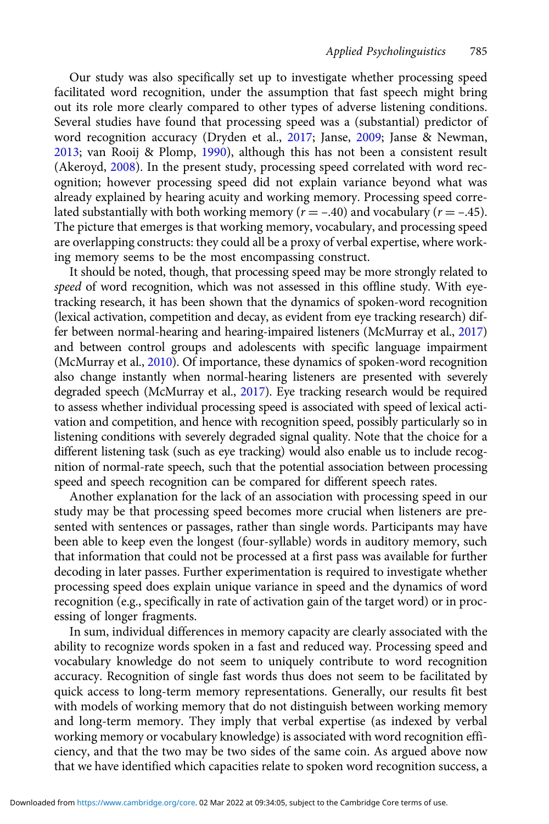Our study was also specifically set up to investigate whether processing speed facilitated word recognition, under the assumption that fast speech might bring out its role more clearly compared to other types of adverse listening conditions. Several studies have found that processing speed was a (substantial) predictor of word recognition accuracy (Dryden et al., [2017](#page-25-0); Janse, [2009](#page-25-0); Janse & Newman, [2013](#page-25-0); van Rooij & Plomp, [1990\)](#page-27-0), although this has not been a consistent result (Akeroyd, [2008](#page-24-0)). In the present study, processing speed correlated with word recognition; however processing speed did not explain variance beyond what was already explained by hearing acuity and working memory. Processing speed correlated substantially with both working memory ( $r = -.40$ ) and vocabulary ( $r = -.45$ ). The picture that emerges is that working memory, vocabulary, and processing speed are overlapping constructs: they could all be a proxy of verbal expertise, where working memory seems to be the most encompassing construct.

It should be noted, though, that processing speed may be more strongly related to speed of word recognition, which was not assessed in this offline study. With eyetracking research, it has been shown that the dynamics of spoken-word recognition (lexical activation, competition and decay, as evident from eye tracking research) differ between normal-hearing and hearing-impaired listeners (McMurray et al., [2017\)](#page-26-0) and between control groups and adolescents with specific language impairment (McMurray et al., [2010](#page-26-0)). Of importance, these dynamics of spoken-word recognition also change instantly when normal-hearing listeners are presented with severely degraded speech (McMurray et al., [2017\)](#page-26-0). Eye tracking research would be required to assess whether individual processing speed is associated with speed of lexical activation and competition, and hence with recognition speed, possibly particularly so in listening conditions with severely degraded signal quality. Note that the choice for a different listening task (such as eye tracking) would also enable us to include recognition of normal-rate speech, such that the potential association between processing speed and speech recognition can be compared for different speech rates.

Another explanation for the lack of an association with processing speed in our study may be that processing speed becomes more crucial when listeners are presented with sentences or passages, rather than single words. Participants may have been able to keep even the longest (four-syllable) words in auditory memory, such that information that could not be processed at a first pass was available for further decoding in later passes. Further experimentation is required to investigate whether processing speed does explain unique variance in speed and the dynamics of word recognition (e.g., specifically in rate of activation gain of the target word) or in processing of longer fragments.

In sum, individual differences in memory capacity are clearly associated with the ability to recognize words spoken in a fast and reduced way. Processing speed and vocabulary knowledge do not seem to uniquely contribute to word recognition accuracy. Recognition of single fast words thus does not seem to be facilitated by quick access to long-term memory representations. Generally, our results fit best with models of working memory that do not distinguish between working memory and long-term memory. They imply that verbal expertise (as indexed by verbal working memory or vocabulary knowledge) is associated with word recognition efficiency, and that the two may be two sides of the same coin. As argued above now that we have identified which capacities relate to spoken word recognition success, a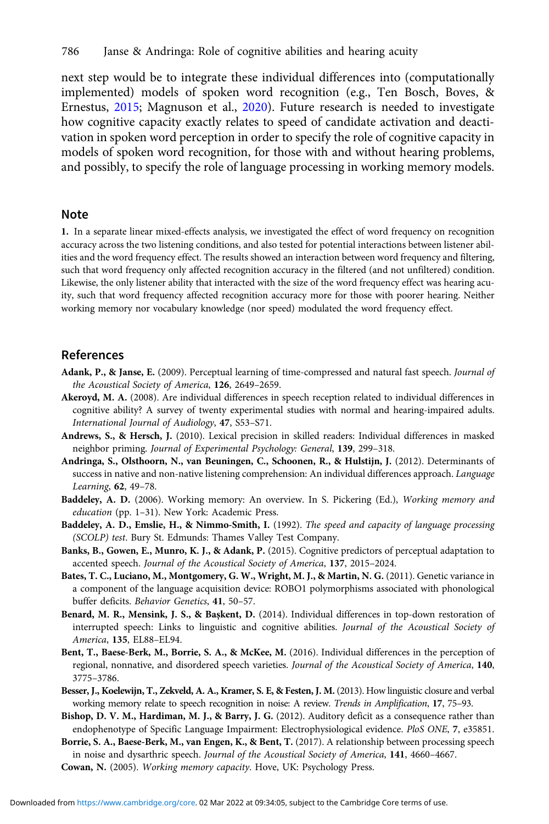<span id="page-24-0"></span>next step would be to integrate these individual differences into (computationally implemented) models of spoken word recognition (e.g., Ten Bosch, Boves, & Ernestus, [2015](#page-27-0); Magnuson et al., [2020\)](#page-26-0). Future research is needed to investigate how cognitive capacity exactly relates to speed of candidate activation and deactivation in spoken word perception in order to specify the role of cognitive capacity in models of spoken word recognition, for those with and without hearing problems, and possibly, to specify the role of language processing in working memory models.

#### Note

1. In a separate linear mixed-effects analysis, we investigated the effect of word frequency on recognition accuracy across the two listening conditions, and also tested for potential interactions between listener abilities and the word frequency effect. The results showed an interaction between word frequency and filtering, such that word frequency only affected recognition accuracy in the filtered (and not unfiltered) condition. Likewise, the only listener ability that interacted with the size of the word frequency effect was hearing acuity, such that word frequency affected recognition accuracy more for those with poorer hearing. Neither working memory nor vocabulary knowledge (nor speed) modulated the word frequency effect.

#### References

- Adank, P., & Janse, E. (2009). Perceptual learning of time-compressed and natural fast speech. Journal of the Acoustical Society of America, 126, 2649–2659.
- Akeroyd, M. A. (2008). Are individual differences in speech reception related to individual differences in cognitive ability? A survey of twenty experimental studies with normal and hearing-impaired adults. International Journal of Audiology, 47, S53–S71.
- Andrews, S., & Hersch, J. (2010). Lexical precision in skilled readers: Individual differences in masked neighbor priming. Journal of Experimental Psychology: General, 139, 299–318.
- Andringa, S., Olsthoorn, N., van Beuningen, C., Schoonen, R., & Hulstijn, J. (2012). Determinants of success in native and non-native listening comprehension: An individual differences approach. Language Learning, 62, 49–78.
- Baddeley, A. D. (2006). Working memory: An overview. In S. Pickering (Ed.), Working memory and education (pp. 1–31). New York: Academic Press.
- Baddeley, A. D., Emslie, H., & Nimmo-Smith, I. (1992). The speed and capacity of language processing (SCOLP) test. Bury St. Edmunds: Thames Valley Test Company.
- Banks, B., Gowen, E., Munro, K. J., & Adank, P. (2015). Cognitive predictors of perceptual adaptation to accented speech. Journal of the Acoustical Society of America, 137, 2015–2024.
- Bates, T. C., Luciano, M., Montgomery, G. W., Wright, M. J., & Martin, N. G. (2011). Genetic variance in a component of the language acquisition device: ROBO1 polymorphisms associated with phonological buffer deficits. Behavior Genetics, 41, 50–57.
- Benard, M. R., Mensink, J. S., & Başkent, D. (2014). Individual differences in top-down restoration of interrupted speech: Links to linguistic and cognitive abilities. Journal of the Acoustical Society of America, 135, EL88–EL94.
- Bent, T., Baese-Berk, M., Borrie, S. A., & McKee, M. (2016). Individual differences in the perception of regional, nonnative, and disordered speech varieties. Journal of the Acoustical Society of America, 140, 3775–3786.
- Besser, J., Koelewijn, T., Zekveld, A. A., Kramer, S. E, & Festen, J. M. (2013). How linguistic closure and verbal working memory relate to speech recognition in noise: A review. Trends in Amplification, 17, 75–93.
- Bishop, D. V. M., Hardiman, M. J., & Barry, J. G. (2012). Auditory deficit as a consequence rather than endophenotype of Specific Language Impairment: Electrophysiological evidence. PloS ONE, 7, e35851.
- Borrie, S. A., Baese-Berk, M., van Engen, K., & Bent, T. (2017). A relationship between processing speech in noise and dysarthric speech. Journal of the Acoustical Society of America, 141, 4660–4667.
- Cowan, N. (2005). Working memory capacity. Hove, UK: Psychology Press.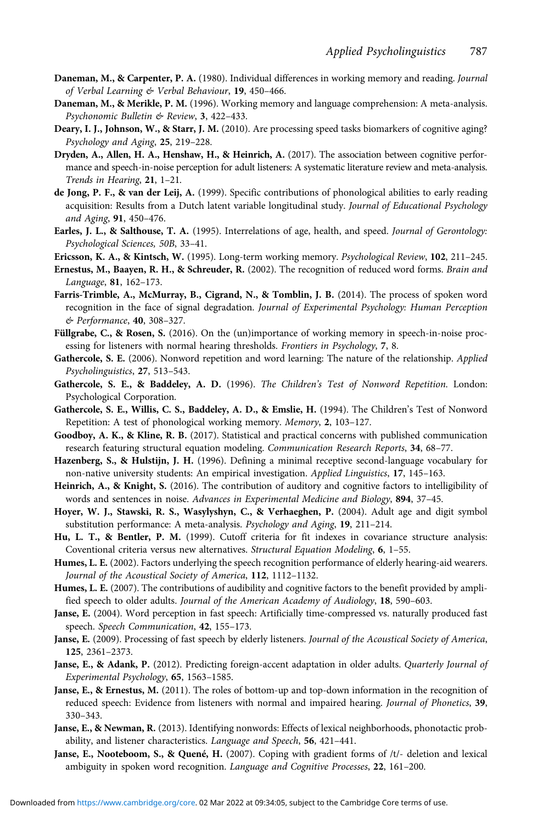- <span id="page-25-0"></span>Daneman, M., & Carpenter, P. A. (1980). Individual differences in working memory and reading. Journal of Verbal Learning & Verbal Behaviour, 19, 450–466.
- Daneman, M., & Merikle, P. M. (1996). Working memory and language comprehension: A meta-analysis. Psychonomic Bulletin & Review, 3, 422–433.
- Deary, I. J., Johnson, W., & Starr, J. M. (2010). Are processing speed tasks biomarkers of cognitive aging? Psychology and Aging, 25, 219–228.
- Dryden, A., Allen, H. A., Henshaw, H., & Heinrich, A. (2017). The association between cognitive performance and speech-in-noise perception for adult listeners: A systematic literature review and meta-analysis. Trends in Hearing, 21, 1–21.
- de Jong, P. F., & van der Leij, A. (1999). Specific contributions of phonological abilities to early reading acquisition: Results from a Dutch latent variable longitudinal study. Journal of Educational Psychology and Aging, 91, 450–476.
- Earles, J. L., & Salthouse, T. A. (1995). Interrelations of age, health, and speed. Journal of Gerontology: Psychological Sciences, 50B, 33–41.
- Ericsson, K. A., & Kintsch, W. (1995). Long-term working memory. Psychological Review, 102, 211–245.
- Ernestus, M., Baayen, R. H., & Schreuder, R. (2002). The recognition of reduced word forms. Brain and Language, 81, 162–173.
- Farris-Trimble, A., McMurray, B., Cigrand, N., & Tomblin, J. B. (2014). The process of spoken word recognition in the face of signal degradation. Journal of Experimental Psychology: Human Perception & Performance, 40, 308–327.
- Füllgrabe, C., & Rosen, S. (2016). On the (un)importance of working memory in speech-in-noise processing for listeners with normal hearing thresholds. Frontiers in Psychology, 7, 8.
- Gathercole, S. E. (2006). Nonword repetition and word learning: The nature of the relationship. Applied Psycholinguistics, 27, 513–543.
- Gathercole, S. E., & Baddeley, A. D. (1996). The Children's Test of Nonword Repetition. London: Psychological Corporation.
- Gathercole, S. E., Willis, C. S., Baddeley, A. D., & Emslie, H. (1994). The Children's Test of Nonword Repetition: A test of phonological working memory. Memory, 2, 103–127.
- Goodboy, A. K., & Kline, R. B. (2017). Statistical and practical concerns with published communication research featuring structural equation modeling. Communication Research Reports, 34, 68–77.
- Hazenberg, S., & Hulstijn, J. H. (1996). Defining a minimal receptive second-language vocabulary for non-native university students: An empirical investigation. Applied Linguistics, 17, 145–163.
- Heinrich, A., & Knight, S. (2016). The contribution of auditory and cognitive factors to intelligibility of words and sentences in noise. Advances in Experimental Medicine and Biology, 894, 37-45.
- Hoyer, W. J., Stawski, R. S., Wasylyshyn, C., & Verhaeghen, P. (2004). Adult age and digit symbol substitution performance: A meta-analysis. Psychology and Aging, 19, 211–214.
- Hu, L. T., & Bentler, P. M. (1999). Cutoff criteria for fit indexes in covariance structure analysis: Coventional criteria versus new alternatives. Structural Equation Modeling, 6, 1–55.
- Humes, L. E. (2002). Factors underlying the speech recognition performance of elderly hearing-aid wearers. Journal of the Acoustical Society of America, 112, 1112–1132.
- Humes, L. E. (2007). The contributions of audibility and cognitive factors to the benefit provided by amplified speech to older adults. Journal of the American Academy of Audiology, 18, 590–603.
- Janse, E. (2004). Word perception in fast speech: Artificially time-compressed vs. naturally produced fast speech. Speech Communication, 42, 155–173.
- Janse, E. (2009). Processing of fast speech by elderly listeners. Journal of the Acoustical Society of America, 125, 2361–2373.
- Janse, E., & Adank, P. (2012). Predicting foreign-accent adaptation in older adults. Quarterly Journal of Experimental Psychology, 65, 1563–1585.
- Janse, E., & Ernestus, M. (2011). The roles of bottom-up and top-down information in the recognition of reduced speech: Evidence from listeners with normal and impaired hearing. Journal of Phonetics, 39, 330–343.
- Janse, E., & Newman, R. (2013). Identifying nonwords: Effects of lexical neighborhoods, phonotactic probability, and listener characteristics. Language and Speech, 56, 421–441.
- Janse, E., Nooteboom, S., & Quené, H. (2007). Coping with gradient forms of /t/- deletion and lexical ambiguity in spoken word recognition. Language and Cognitive Processes, 22, 161–200.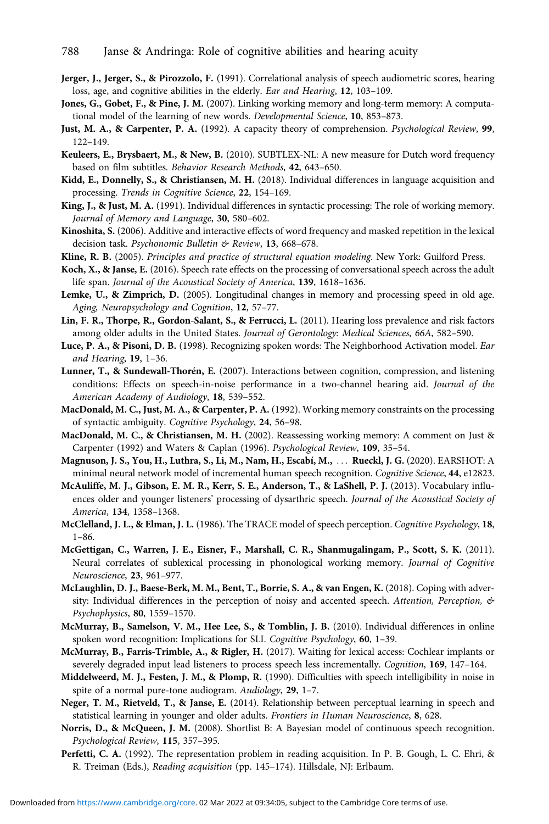- <span id="page-26-0"></span>Jerger, J., Jerger, S., & Pirozzolo, F. (1991). Correlational analysis of speech audiometric scores, hearing loss, age, and cognitive abilities in the elderly. Ear and Hearing, 12, 103–109.
- Jones, G., Gobet, F., & Pine, J. M. (2007). Linking working memory and long-term memory: A computational model of the learning of new words. Developmental Science, 10, 853–873.
- Just, M. A., & Carpenter, P. A. (1992). A capacity theory of comprehension. Psychological Review, 99, 122–149.
- Keuleers, E., Brysbaert, M., & New, B. (2010). SUBTLEX-NL: A new measure for Dutch word frequency based on film subtitles. Behavior Research Methods, 42, 643–650.
- Kidd, E., Donnelly, S., & Christiansen, M. H. (2018). Individual differences in language acquisition and processing. Trends in Cognitive Science, 22, 154–169.
- King, J., & Just, M. A. (1991). Individual differences in syntactic processing: The role of working memory. Journal of Memory and Language, 30, 580–602.
- Kinoshita, S. (2006). Additive and interactive effects of word frequency and masked repetition in the lexical decision task. Psychonomic Bulletin & Review, 13, 668-678.
- Kline, R. B. (2005). Principles and practice of structural equation modeling. New York: Guilford Press.
- Koch, X., & Janse, E. (2016). Speech rate effects on the processing of conversational speech across the adult life span. Journal of the Acoustical Society of America, 139, 1618–1636.
- Lemke, U., & Zimprich, D. (2005). Longitudinal changes in memory and processing speed in old age. Aging, Neuropsychology and Cognition, 12, 57–77.
- Lin, F. R., Thorpe, R., Gordon-Salant, S., & Ferrucci, L. (2011). Hearing loss prevalence and risk factors among older adults in the United States. Journal of Gerontology: Medical Sciences, 66A, 582–590.
- Luce, P. A., & Pisoni, D. B. (1998). Recognizing spoken words: The Neighborhood Activation model. Ear and Hearing, 19, 1–36.
- Lunner, T., & Sundewall-Thorén, E. (2007). Interactions between cognition, compression, and listening conditions: Effects on speech-in-noise performance in a two-channel hearing aid. Journal of the American Academy of Audiology, 18, 539–552.
- MacDonald, M. C., Just, M. A., & Carpenter, P. A. (1992). Working memory constraints on the processing of syntactic ambiguity. Cognitive Psychology, 24, 56–98.
- MacDonald, M. C., & Christiansen, M. H. (2002). Reassessing working memory: A comment on Just & Carpenter (1992) and Waters & Caplan (1996). Psychological Review, 109, 35–54.
- Magnuson, J. S., You, H., Luthra, S., Li, M., Nam, H., Escabí, M., ::: Rueckl, J. G. (2020). EARSHOT: A minimal neural network model of incremental human speech recognition. Cognitive Science, 44, e12823.
- McAuliffe, M. J., Gibson, E. M. R., Kerr, S. E., Anderson, T., & LaShell, P. J. (2013). Vocabulary influences older and younger listeners' processing of dysarthric speech. Journal of the Acoustical Society of America, 134, 1358–1368.
- McClelland, J. L., & Elman, J. L. (1986). The TRACE model of speech perception. Cognitive Psychology, 18, 1–86.
- McGettigan, C., Warren, J. E., Eisner, F., Marshall, C. R., Shanmugalingam, P., Scott, S. K. (2011). Neural correlates of sublexical processing in phonological working memory. Journal of Cognitive Neuroscience, 23, 961–977.
- McLaughlin, D. J., Baese-Berk, M. M., Bent, T., Borrie, S. A., & van Engen, K. (2018). Coping with adversity: Individual differences in the perception of noisy and accented speech. Attention, Perception, & Psychophysics, 80, 1559–1570.
- McMurray, B., Samelson, V. M., Hee Lee, S., & Tomblin, J. B. (2010). Individual differences in online spoken word recognition: Implications for SLI. Cognitive Psychology, 60, 1–39.
- McMurray, B., Farris-Trimble, A., & Rigler, H. (2017). Waiting for lexical access: Cochlear implants or severely degraded input lead listeners to process speech less incrementally. Cognition, 169, 147–164.
- Middelweerd, M. J., Festen, J. M., & Plomp, R. (1990). Difficulties with speech intelligibility in noise in spite of a normal pure-tone audiogram. Audiology, 29, 1–7.
- Neger, T. M., Rietveld, T., & Janse, E. (2014). Relationship between perceptual learning in speech and statistical learning in younger and older adults. Frontiers in Human Neuroscience, 8, 628.
- Norris, D., & McQueen, J. M. (2008). Shortlist B: A Bayesian model of continuous speech recognition. Psychological Review, 115, 357–395.
- Perfetti, C. A. (1992). The representation problem in reading acquisition. In P. B. Gough, L. C. Ehri, & R. Treiman (Eds.), Reading acquisition (pp. 145–174). Hillsdale, NJ: Erlbaum.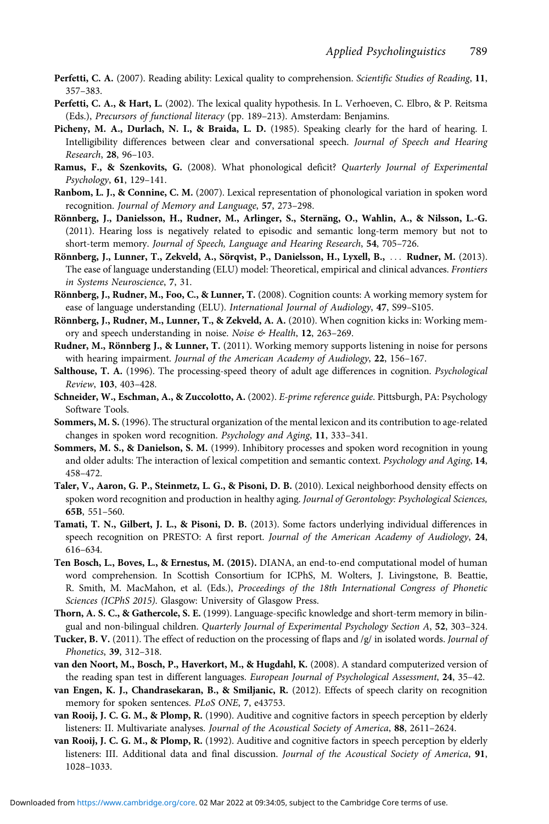- <span id="page-27-0"></span>Perfetti, C. A. (2007). Reading ability: Lexical quality to comprehension. Scientific Studies of Reading, 11, 357–383.
- Perfetti, C. A., & Hart, L. (2002). The lexical quality hypothesis. In L. Verhoeven, C. Elbro, & P. Reitsma (Eds.), Precursors of functional literacy (pp. 189–213). Amsterdam: Benjamins.
- Picheny, M. A., Durlach, N. I., & Braida, L. D. (1985). Speaking clearly for the hard of hearing. I. Intelligibility differences between clear and conversational speech. Journal of Speech and Hearing Research, 28, 96–103.
- Ramus, F., & Szenkovits, G. (2008). What phonological deficit? Quarterly Journal of Experimental Psychology, 61, 129–141.
- Ranbom, L. J., & Connine, C. M. (2007). Lexical representation of phonological variation in spoken word recognition. Journal of Memory and Language, 57, 273–298.
- Rönnberg, J., Danielsson, H., Rudner, M., Arlinger, S., Sternäng, O., Wahlin, A., & Nilsson, L.-G. (2011). Hearing loss is negatively related to episodic and semantic long-term memory but not to short-term memory. Journal of Speech, Language and Hearing Research, 54, 705–726.
- Rönnberg, J., Lunner, T., Zekveld, A., Sörqvist, P., Danielsson, H., Lyxell, B., ::: Rudner, M. (2013). The ease of language understanding (ELU) model: Theoretical, empirical and clinical advances. Frontiers in Systems Neuroscience, 7, 31.
- Rönnberg, J., Rudner, M., Foo, C., & Lunner, T. (2008). Cognition counts: A working memory system for ease of language understanding (ELU). International Journal of Audiology, 47, S99–S105.
- Rönnberg, J., Rudner, M., Lunner, T., & Zekveld, A. A. (2010). When cognition kicks in: Working memory and speech understanding in noise. Noise & Health, 12, 263-269.
- Rudner, M., Rönnberg J., & Lunner, T. (2011). Working memory supports listening in noise for persons with hearing impairment. Journal of the American Academy of Audiology, 22, 156-167.
- Salthouse, T. A. (1996). The processing-speed theory of adult age differences in cognition. Psychological Review, 103, 403–428.
- Schneider, W., Eschman, A., & Zuccolotto, A. (2002). E-prime reference guide. Pittsburgh, PA: Psychology Software Tools.
- Sommers, M. S. (1996). The structural organization of the mental lexicon and its contribution to age-related changes in spoken word recognition. Psychology and Aging, 11, 333–341.
- Sommers, M. S., & Danielson, S. M. (1999). Inhibitory processes and spoken word recognition in young and older adults: The interaction of lexical competition and semantic context. Psychology and Aging, 14, 458–472.
- Taler, V., Aaron, G. P., Steinmetz, L. G., & Pisoni, D. B. (2010). Lexical neighborhood density effects on spoken word recognition and production in healthy aging. Journal of Gerontology: Psychological Sciences, 65B, 551–560.
- Tamati, T. N., Gilbert, J. L., & Pisoni, D. B. (2013). Some factors underlying individual differences in speech recognition on PRESTO: A first report. Journal of the American Academy of Audiology, 24, 616–634.
- Ten Bosch, L., Boves, L., & Ernestus, M. (2015). DIANA, an end-to-end computational model of human word comprehension. In Scottish Consortium for ICPhS, M. Wolters, J. Livingstone, B. Beattie, R. Smith, M. MacMahon, et al. (Eds.), Proceedings of the 18th International Congress of Phonetic Sciences (ICPhS 2015). Glasgow: University of Glasgow Press.
- Thorn, A. S. C., & Gathercole, S. E. (1999). Language-specific knowledge and short-term memory in bilingual and non-bilingual children. Quarterly Journal of Experimental Psychology Section A, 52, 303–324.
- Tucker, B. V. (2011). The effect of reduction on the processing of flaps and /g/ in isolated words. Journal of Phonetics, 39, 312–318.
- van den Noort, M., Bosch, P., Haverkort, M., & Hugdahl, K. (2008). A standard computerized version of the reading span test in different languages. European Journal of Psychological Assessment, 24, 35-42.
- van Engen, K. J., Chandrasekaran, B., & Smiljanic, R. (2012). Effects of speech clarity on recognition memory for spoken sentences. PLoS ONE, 7, e43753.
- van Rooij, J. C. G. M., & Plomp, R. (1990). Auditive and cognitive factors in speech perception by elderly listeners: II. Multivariate analyses. Journal of the Acoustical Society of America, 88, 2611–2624.
- van Rooij, J. C. G. M., & Plomp, R. (1992). Auditive and cognitive factors in speech perception by elderly listeners: III. Additional data and final discussion. Journal of the Acoustical Society of America, 91, 1028–1033.